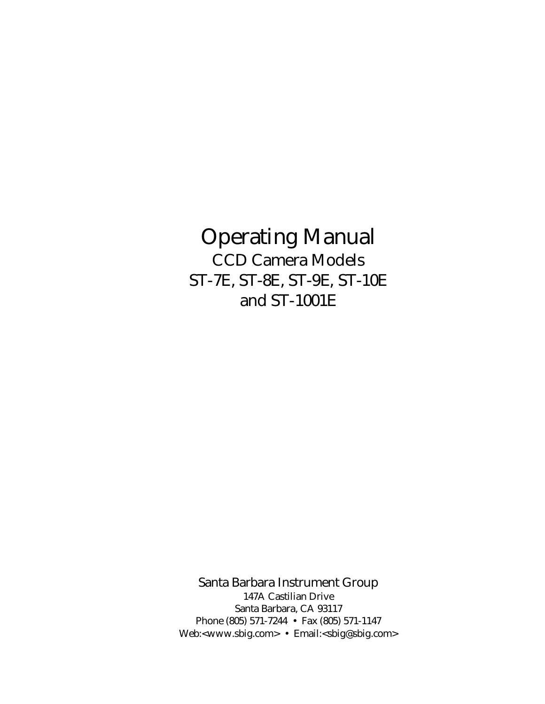# Operating Manual CCD Camera Models ST-7E, ST-8E, ST-9E, ST-10E and ST-1001E

Santa Barbara Instrument Group 147A Castilian Drive Santa Barbara, CA 93117 Phone (805) 571-7244 • Fax (805) 571-1147 Web:<www.sbig.com> • Email:<sbig@sbig.com>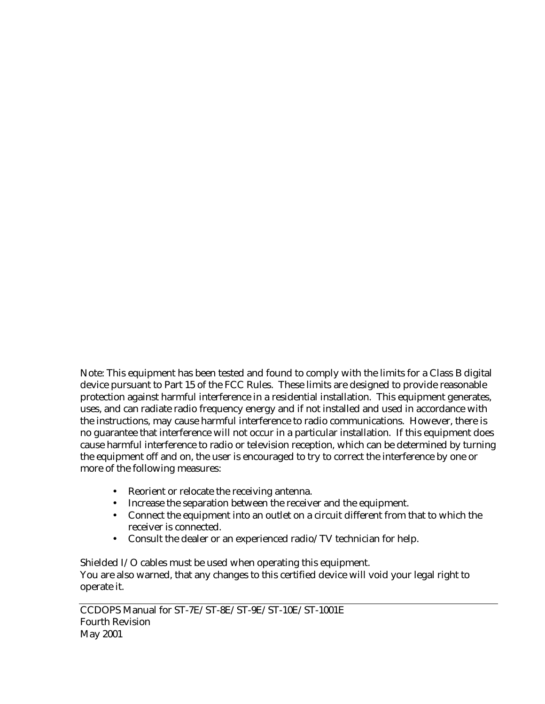Note: This equipment has been tested and found to comply with the limits for a Class B digital device pursuant to Part 15 of the FCC Rules. These limits are designed to provide reasonable protection against harmful interference in a residential installation. This equipment generates, uses, and can radiate radio frequency energy and if not installed and used in accordance with the instructions, may cause harmful interference to radio communications. However, there is no guarantee that interference will not occur in a particular installation. If this equipment does cause harmful interference to radio or television reception, which can be determined by turning the equipment off and on, the user is encouraged to try to correct the interference by one or more of the following measures:

- Reorient or relocate the receiving antenna.
- Increase the separation between the receiver and the equipment.
- Connect the equipment into an outlet on a circuit different from that to which the receiver is connected.
- Consult the dealer or an experienced radio/TV technician for help.

Shielded I/O cables must be used when operating this equipment. You are also warned, that any changes to this certified device will void your legal right to operate it.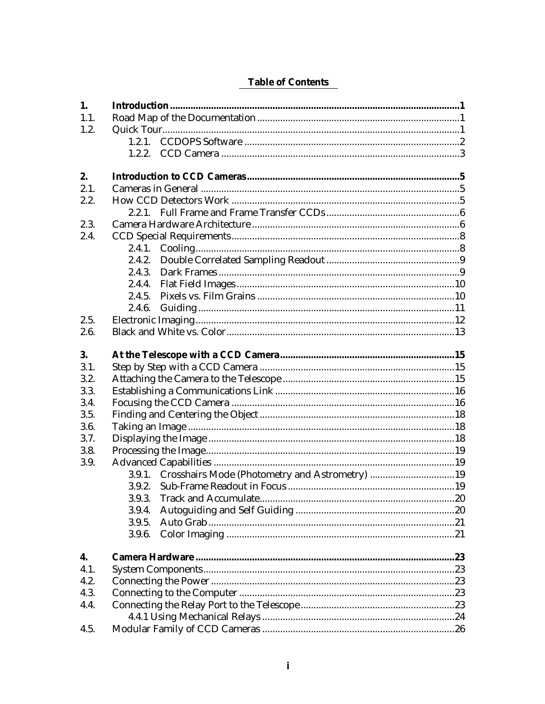| 1.        |        |  |
|-----------|--------|--|
| 1.1.      |        |  |
| 1.2.      |        |  |
|           |        |  |
|           |        |  |
| 2.        |        |  |
| 2.1.      |        |  |
| 2.2.      |        |  |
|           |        |  |
| 2.3.      |        |  |
| 2.4.      |        |  |
|           | 2.4.1. |  |
|           | 2.4.2. |  |
|           | 2.4.3. |  |
|           | 2.4.4. |  |
|           | 2.4.5. |  |
|           | 2.4.6. |  |
| 2.5.      |        |  |
|           |        |  |
| 2.6.      |        |  |
| <b>3.</b> |        |  |
| 3.1.      |        |  |
| 3.2.      |        |  |
| 3.3.      |        |  |
| 3.4.      |        |  |
| 3.5.      |        |  |
| 3.6.      |        |  |
| 3.7.      |        |  |
| 3.8.      |        |  |
| 3.9.      |        |  |
|           |        |  |
|           |        |  |
|           |        |  |
|           | 3.9.4. |  |
|           | 3.9.5. |  |
|           | 3.9.6. |  |
| 4.        |        |  |
| 4.1.      |        |  |
| 4.2.      |        |  |
| 4.3.      |        |  |
| 4.4.      |        |  |
|           |        |  |
| 4.5.      |        |  |

### **Table of Contents**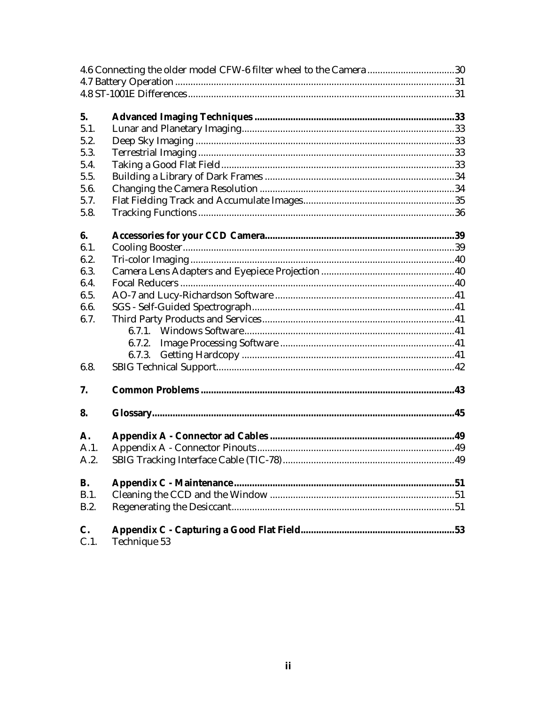|            | 4.6 Connecting the older model CFW-6 filter wheel to the Camera30 |  |
|------------|-------------------------------------------------------------------|--|
|            |                                                                   |  |
|            |                                                                   |  |
|            |                                                                   |  |
| 5.         |                                                                   |  |
| 5.1.       |                                                                   |  |
| 5.2.       |                                                                   |  |
| 5.3.       |                                                                   |  |
| 5.4.       |                                                                   |  |
| 5.5.       |                                                                   |  |
| 5.6.       |                                                                   |  |
| 5.7.       |                                                                   |  |
| 5.8.       |                                                                   |  |
|            |                                                                   |  |
| 6.         |                                                                   |  |
| 6.1.       |                                                                   |  |
| 6.2.       |                                                                   |  |
| 6.3.       |                                                                   |  |
| 6.4.       |                                                                   |  |
| 6.5.       |                                                                   |  |
| 6.6.       |                                                                   |  |
| 6.7.       |                                                                   |  |
|            | 6.7.1.                                                            |  |
|            | 6.7.2.                                                            |  |
|            | 6.7.3.                                                            |  |
| 6.8.       |                                                                   |  |
| 7.         |                                                                   |  |
|            |                                                                   |  |
| 8.         |                                                                   |  |
| A.         |                                                                   |  |
| A.1.       |                                                                   |  |
| A.2.       |                                                                   |  |
|            |                                                                   |  |
| <b>B.</b>  |                                                                   |  |
| B.1.       |                                                                   |  |
| B.2.       |                                                                   |  |
|            |                                                                   |  |
| C.<br>C.1. | Technique 53                                                      |  |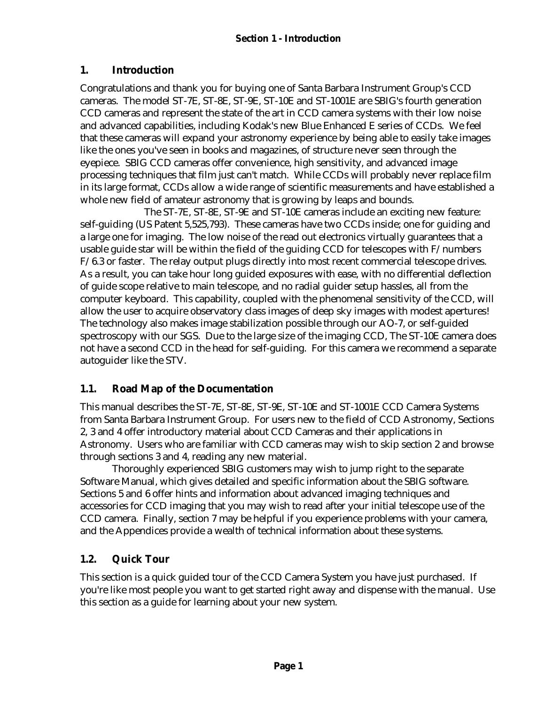### **1. Introduction**

Congratulations and thank you for buying one of Santa Barbara Instrument Group's CCD cameras. The model ST-7E, ST-8E, ST-9E, ST-10E and ST-1001E are SBIG's fourth generation CCD cameras and represent the state of the art in CCD camera systems with their low noise and advanced capabilities, including Kodak's new Blue Enhanced E series of CCDs. We feel that these cameras will expand your astronomy experience by being able to easily take images like the ones you've seen in books and magazines, of structure never seen through the eyepiece. SBIG CCD cameras offer convenience, high sensitivity, and advanced image processing techniques that film just can't match. While CCDs will probably never replace film in its large format, CCDs allow a wide range of scientific measurements and have established a whole new field of amateur astronomy that is growing by leaps and bounds.

The ST-7E, ST-8E, ST-9E and ST-10E cameras include an exciting new feature: self-guiding (US Patent 5,525,793). These cameras have two CCDs inside; one for guiding and a large one for imaging. The low noise of the read out electronics virtually guarantees that a usable guide star will be within the field of the guiding CCD for telescopes with F/numbers  $F/6.3$  or faster. The relay output plugs directly into most recent commercial telescope drives. As a result, you can take hour long guided exposures with ease, with no differential deflection of guide scope relative to main telescope, and no radial guider setup hassles, all from the computer keyboard. This capability, coupled with the phenomenal sensitivity of the CCD, will allow the user to acquire observatory class images of deep sky images with modest apertures! The technology also makes image stabilization possible through our AO-7, or self-guided spectroscopy with our SGS. Due to the large size of the imaging CCD, The ST-10E camera does not have a second CCD in the head for self-guiding. For this camera we recommend a separate autoguider like the STV.

# **1.1. Road Map of the Documentation**

This manual describes the ST-7E, ST-8E, ST-9E, ST-10E and ST-1001E CCD Camera Systems from Santa Barbara Instrument Group. For users new to the field of CCD Astronomy, Sections 2, 3 and 4 offer introductory material about CCD Cameras and their applications in Astronomy. Users who are familiar with CCD cameras may wish to skip section 2 and browse through sections 3 and 4, reading any new material.

Thoroughly experienced SBIG customers may wish to jump right to the separate Software Manual, which gives detailed and specific information about the SBIG software. Sections 5 and 6 offer hints and information about advanced imaging techniques and accessories for CCD imaging that you may wish to read after your initial telescope use of the CCD camera. Finally, section 7 may be helpful if you experience problems with your camera, and the Appendices provide a wealth of technical information about these systems.

# **1.2. Quick Tour**

This section is a quick guided tour of the CCD Camera System you have just purchased. If you're like most people you want to get started right away and dispense with the manual. Use this section as a guide for learning about your new system.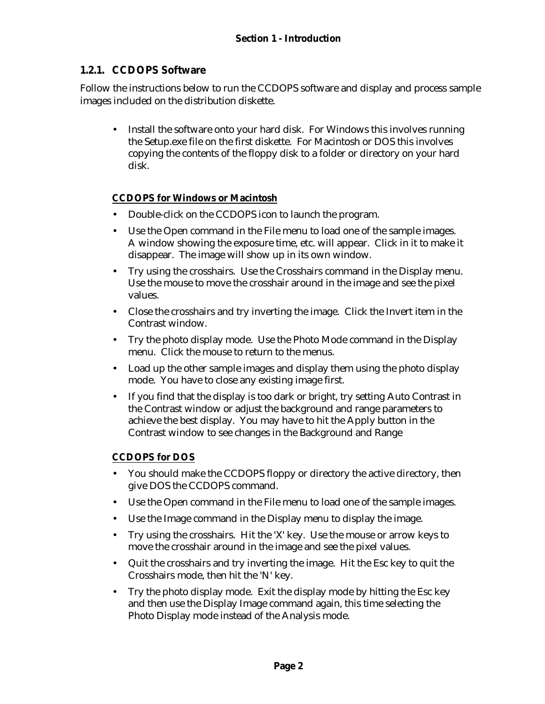### **1.2.1. CCDOPS Software**

Follow the instructions below to run the CCDOPS software and display and process sample images included on the distribution diskette.

• Install the software onto your hard disk. For Windows this involves running the Setup.exe file on the first diskette. For Macintosh or DOS this involves copying the contents of the floppy disk to a folder or directory on your hard disk.

### **CCDOPS for Windows or Macintosh**

- Double-click on the CCDOPS icon to launch the program.
- Use the Open command in the File menu to load one of the sample images. A window showing the exposure time, etc. will appear. Click in it to make it disappear. The image will show up in its own window.
- Try using the crosshairs. Use the Crosshairs command in the Display menu. Use the mouse to move the crosshair around in the image and see the pixel values.
- Close the crosshairs and try inverting the image. Click the Invert item in the Contrast window.
- Try the photo display mode. Use the Photo Mode command in the Display menu. Click the mouse to return to the menus.
- Load up the other sample images and display them using the photo display mode. You have to close any existing image first.
- If you find that the display is too dark or bright, try setting Auto Contrast in the Contrast window or adjust the background and range parameters to achieve the best display. You may have to hit the Apply button in the Contrast window to see changes in the Background and Range

### **CCDOPS for DOS**

- You should make the CCDOPS floppy or directory the active directory, then give DOS the CCDOPS command.
- Use the Open command in the File menu to load one of the sample images.
- Use the Image command in the Display menu to display the image.
- Try using the crosshairs. Hit the 'X' key. Use the mouse or arrow keys to move the crosshair around in the image and see the pixel values.
- Quit the crosshairs and try inverting the image. Hit the Esc key to quit the Crosshairs mode, then hit the 'N' key.
- Try the photo display mode. Exit the display mode by hitting the Esc key and then use the Display Image command again, this time selecting the Photo Display mode instead of the Analysis mode.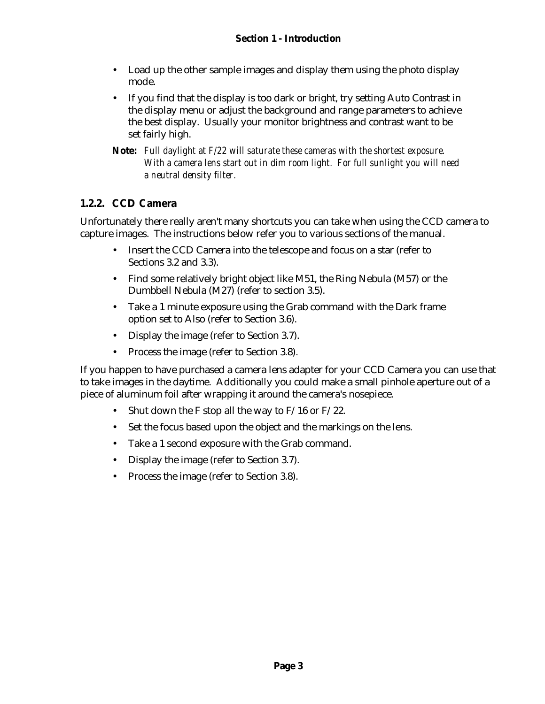- Load up the other sample images and display them using the photo display mode.
- If you find that the display is too dark or bright, try setting Auto Contrast in the display menu or adjust the background and range parameters to achieve the best display. Usually your monitor brightness and contrast want to be set fairly high.
- **Note:** *Full daylight at F/22 will saturate these cameras with the shortest exposure. With a camera lens start out in dim room light. For full sunlight you will need a neutral density filter.*

### **1.2.2. CCD Camera**

Unfortunately there really aren't many shortcuts you can take when using the CCD camera to capture images. The instructions below refer you to various sections of the manual.

- Insert the CCD Camera into the telescope and focus on a star (refer to Sections 3.2 and 3.3).
- Find some relatively bright object like M51, the Ring Nebula (M57) or the Dumbbell Nebula (M27) (refer to section 3.5).
- Take a 1 minute exposure using the Grab command with the Dark frame option set to Also (refer to Section 3.6).
- Display the image (refer to Section 3.7).
- Process the image (refer to Section 3.8).

If you happen to have purchased a camera lens adapter for your CCD Camera you can use that to take images in the daytime. Additionally you could make a small pinhole aperture out of a piece of aluminum foil after wrapping it around the camera's nosepiece.

- Shut down the F stop all the way to  $F/16$  or  $F/22$ .
- Set the focus based upon the object and the markings on the lens.
- Take a 1 second exposure with the Grab command.
- Display the image (refer to Section 3.7).
- Process the image (refer to Section 3.8).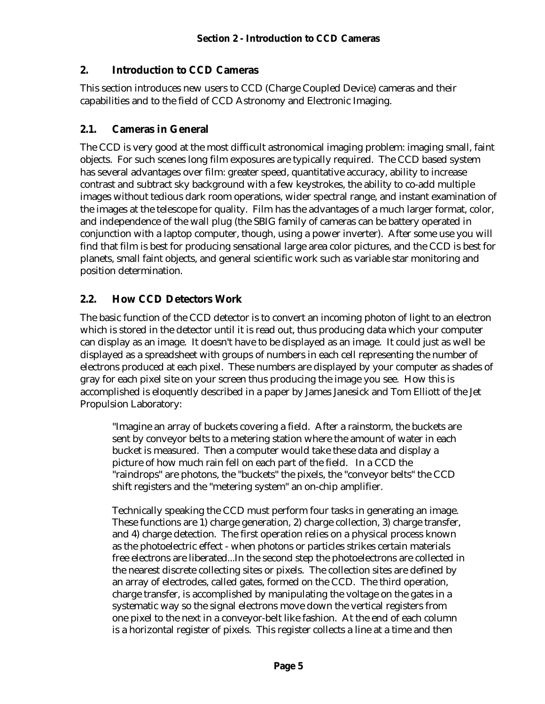### **2. Introduction to CCD Cameras**

This section introduces new users to CCD (Charge Coupled Device) cameras and their capabilities and to the field of CCD Astronomy and Electronic Imaging.

### **2.1. Cameras in General**

The CCD is very good at the most difficult astronomical imaging problem: imaging small, faint objects. For such scenes long film exposures are typically required. The CCD based system has several advantages over film: greater speed, quantitative accuracy, ability to increase contrast and subtract sky background with a few keystrokes, the ability to co-add multiple images without tedious dark room operations, wider spectral range, and instant examination of the images at the telescope for quality. Film has the advantages of a much larger format, color, and independence of the wall plug (the SBIG family of cameras can be battery operated in conjunction with a laptop computer, though, using a power inverter). After some use you will find that film is best for producing sensational large area color pictures, and the CCD is best for planets, small faint objects, and general scientific work such as variable star monitoring and position determination.

### **2.2. How CCD Detectors Work**

The basic function of the CCD detector is to convert an incoming photon of light to an electron which is stored in the detector until it is read out, thus producing data which your computer can display as an image. It doesn't have to be displayed as an image. It could just as well be displayed as a spreadsheet with groups of numbers in each cell representing the number of electrons produced at each pixel. These numbers are displayed by your computer as shades of gray for each pixel site on your screen thus producing the image you see. How this is accomplished is eloquently described in a paper by James Janesick and Tom Elliott of the Jet Propulsion Laboratory:

"Imagine an array of buckets covering a field. After a rainstorm, the buckets are sent by conveyor belts to a metering station where the amount of water in each bucket is measured. Then a computer would take these data and display a picture of how much rain fell on each part of the field. In a CCD the "raindrops" are photons, the "buckets" the pixels, the "conveyor belts" the CCD shift registers and the "metering system" an on-chip amplifier.

Technically speaking the CCD must perform four tasks in generating an image. These functions are 1) charge generation, 2) charge collection, 3) charge transfer, and 4) charge detection. The first operation relies on a physical process known as the photoelectric effect - when photons or particles strikes certain materials free electrons are liberated...In the second step the photoelectrons are collected in the nearest discrete collecting sites or pixels. The collection sites are defined by an array of electrodes, called gates, formed on the CCD. The third operation, charge transfer, is accomplished by manipulating the voltage on the gates in a systematic way so the signal electrons move down the vertical registers from one pixel to the next in a conveyor-belt like fashion. At the end of each column is a horizontal register of pixels. This register collects a line at a time and then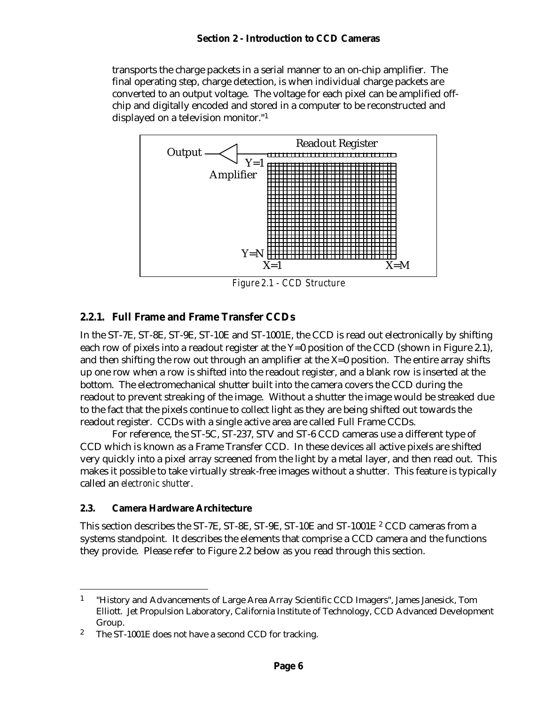transports the charge packets in a serial manner to an on-chip amplifier. The final operating step, charge detection, is when individual charge packets are converted to an output voltage. The voltage for each pixel can be amplified offchip and digitally encoded and stored in a computer to be reconstructed and displayed on a television monitor."<sup>1</sup>



*Figure 2.1 - CCD Structure*

### **2.2.1. Full Frame and Frame Transfer CCDs**

In the ST-7E, ST-8E, ST-9E, ST-10E and ST-1001E, the CCD is read out electronically by shifting each row of pixels into a readout register at the Y=0 position of the CCD (shown in Figure 2.1), and then shifting the row out through an amplifier at the X=0 position. The entire array shifts up one row when a row is shifted into the readout register, and a blank row is inserted at the bottom. The electromechanical shutter built into the camera covers the CCD during the readout to prevent streaking of the image. Without a shutter the image would be streaked due to the fact that the pixels continue to collect light as they are being shifted out towards the readout register. CCDs with a single active area are called Full Frame CCDs.

For reference, the ST-5C, ST-237, STV and ST-6 CCD cameras use a different type of CCD which is known as a Frame Transfer CCD. In these devices all active pixels are shifted very quickly into a pixel array screened from the light by a metal layer, and then read out. This makes it possible to take virtually streak-free images without a shutter. This feature is typically called an *electronic shutter*.

#### **2.3. Camera Hardware Architecture**

<u>.</u>

This section describes the ST-7E, ST-8E, ST-9E, ST-10E and ST-1001E <sup>2</sup> CCD cameras from a systems standpoint. It describes the elements that comprise a CCD camera and the functions they provide. Please refer to Figure 2.2 below as you read through this section.

<sup>1</sup> "History and Advancements of Large Area Array Scientific CCD Imagers", James Janesick, Tom Elliott. Jet Propulsion Laboratory, California Institute of Technology, CCD Advanced Development Group.

<sup>2</sup> The ST-1001E does not have a second CCD for tracking.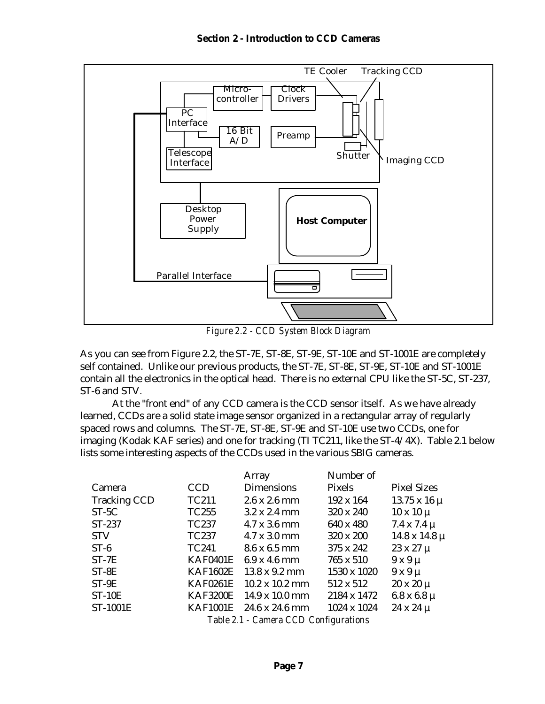

*Figure 2.2 - CCD System Block Diagram*

As you can see from Figure 2.2, the ST-7E, ST-8E, ST-9E, ST-10E and ST-1001E are completely self contained. Unlike our previous products, the ST-7E, ST-8E, ST-9E, ST-10E and ST-1001E contain all the electronics in the optical head. There is no external CPU like the ST-5C, ST-237, ST-6 and STV.

At the "front end" of any CCD camera is the CCD sensor itself. As we have already learned, CCDs are a solid state image sensor organized in a rectangular array of regularly spaced rows and columns. The ST-7E, ST-8E, ST-9E and ST-10E use two CCDs, one for imaging (Kodak KAF series) and one for tracking (TI TC211, like the ST-4/4X). Table 2.1 below lists some interesting aspects of the CCDs used in the various SBIG cameras.

|                                       |                 | Array                         | Number of   |                        |
|---------------------------------------|-----------------|-------------------------------|-------------|------------------------|
| Camera                                | <b>CCD</b>      | <b>Dimensions</b>             | Pixels      | <b>Pixel Sizes</b>     |
| <b>Tracking CCD</b>                   | TC211           | $2.6 \times 2.6 \text{ mm}$   | 192 x 164   | $13.75 \times 16 \mu$  |
| $ST-5C$                               | TC255           | $3.2 \times 2.4 \text{ mm}$   | 320 x 240   | $10 \times 10 \mu$     |
| ST-237                                | TC237           | $4.7 \times 3.6 \text{ mm}$   | 640 x 480   | $7.4 \times 7.4 \mu$   |
| <b>STV</b>                            | TC237           | $4.7 \times 3.0 \text{ mm}$   | 320 x 200   | $14.8 \times 14.8 \mu$ |
| $ST-6$                                | TC241           | 8.6 x 6.5 mm                  | 375 x 242   | $23 \times 27 \mu$     |
| $ST-7E$                               | <b>KAF0401E</b> | $6.9 \times 4.6 \text{ mm}$   | 765 x 510   | $9x9\mu$               |
| $ST-8E$                               | <b>KAF1602E</b> | $13.8 \times 9.2 \text{ mm}$  | 1530 x 1020 | $9x9\mu$               |
| $ST-9E$                               | <b>KAF0261E</b> | $10.2 \times 10.2 \text{ mm}$ | 512 x 512   | $20 \times 20 \mu$     |
| $ST-10E$                              | <b>KAF3200E</b> | $14.9 \times 10.0 \text{ mm}$ | 2184 x 1472 | $6.8 \times 6.8 \mu$   |
| ST-1001E                              | <b>KAF1001E</b> | 24.6 x 24.6 mm                | 1024 x 1024 | $24 \times 24 \mu$     |
| Table 2.1 - Camera CCD Configurations |                 |                               |             |                        |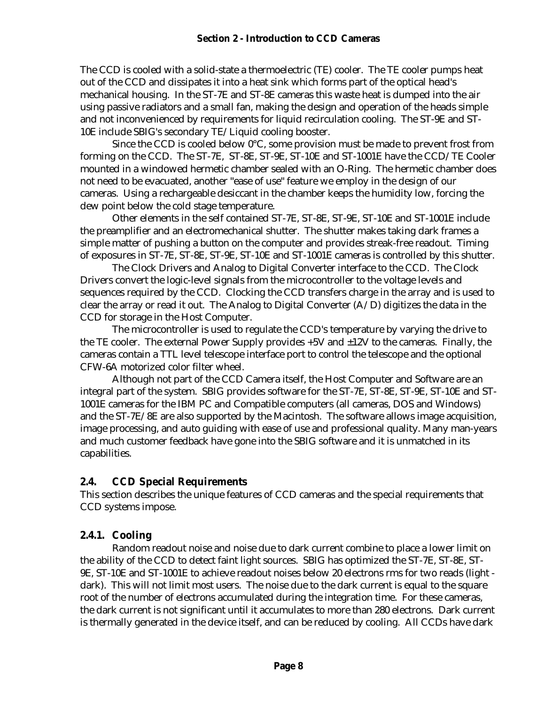The CCD is cooled with a solid-state a thermoelectric (TE) cooler. The TE cooler pumps heat out of the CCD and dissipates it into a heat sink which forms part of the optical head's mechanical housing. In the ST-7E and ST-8E cameras this waste heat is dumped into the air using passive radiators and a small fan, making the design and operation of the heads simple and not inconvenienced by requirements for liquid recirculation cooling. The ST-9E and ST-10E include SBIG's secondary TE/Liquid cooling booster.

Since the CCD is cooled below 0°C, some provision must be made to prevent frost from forming on the CCD. The ST-7E, ST-8E, ST-9E, ST-10E and ST-1001E have the CCD/TE Cooler mounted in a windowed hermetic chamber sealed with an O-Ring. The hermetic chamber does not need to be evacuated, another "ease of use" feature we employ in the design of our cameras. Using a rechargeable desiccant in the chamber keeps the humidity low, forcing the dew point below the cold stage temperature.

Other elements in the self contained ST-7E, ST-8E, ST-9E, ST-10E and ST-1001E include the preamplifier and an electromechanical shutter. The shutter makes taking dark frames a simple matter of pushing a button on the computer and provides streak-free readout. Timing of exposures in ST-7E, ST-8E, ST-9E, ST-10E and ST-1001E cameras is controlled by this shutter.

The Clock Drivers and Analog to Digital Converter interface to the CCD. The Clock Drivers convert the logic-level signals from the microcontroller to the voltage levels and sequences required by the CCD. Clocking the CCD transfers charge in the array and is used to clear the array or read it out. The Analog to Digital Converter  $(A/D)$  digitizes the data in the CCD for storage in the Host Computer.

The microcontroller is used to regulate the CCD's temperature by varying the drive to the TE cooler. The external Power Supply provides  $+5V$  and  $\pm 12V$  to the cameras. Finally, the cameras contain a TTL level telescope interface port to control the telescope and the optional CFW-6A motorized color filter wheel.

Although not part of the CCD Camera itself, the Host Computer and Software are an integral part of the system. SBIG provides software for the ST-7E, ST-8E, ST-9E, ST-10E and ST-1001E cameras for the IBM PC and Compatible computers (all cameras, DOS and Windows) and the ST-7E/8E are also supported by the Macintosh. The software allows image acquisition, image processing, and auto guiding with ease of use and professional quality. Many man-years and much customer feedback have gone into the SBIG software and it is unmatched in its capabilities.

### **2.4. CCD Special Requirements**

This section describes the unique features of CCD cameras and the special requirements that CCD systems impose.

# **2.4.1. Cooling**

Random readout noise and noise due to dark current combine to place a lower limit on the ability of the CCD to detect faint light sources. SBIG has optimized the ST-7E, ST-8E, ST-9E, ST-10E and ST-1001E to achieve readout noises below 20 electrons rms for two reads (light dark). This will not limit most users. The noise due to the dark current is equal to the square root of the number of electrons accumulated during the integration time. For these cameras, the dark current is not significant until it accumulates to more than 280 electrons. Dark current is thermally generated in the device itself, and can be reduced by cooling. All CCDs have dark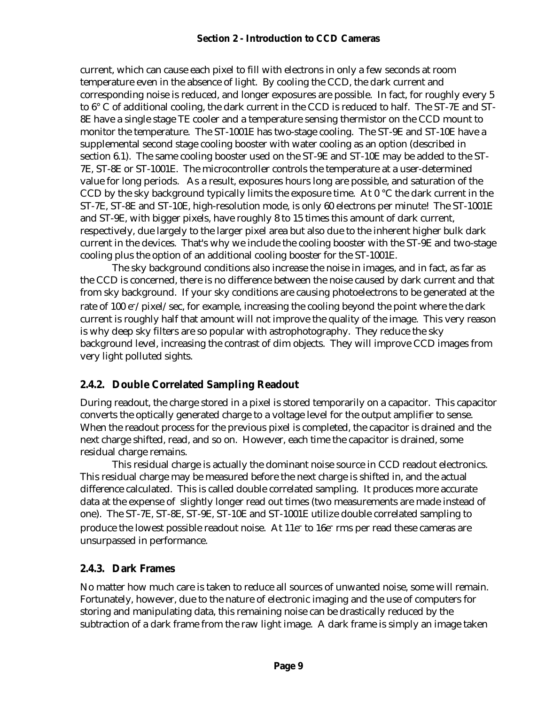#### **Section 2 - Introduction to CCD Cameras**

current, which can cause each pixel to fill with electrons in only a few seconds at room temperature even in the absence of light. By cooling the CCD, the dark current and corresponding noise is reduced, and longer exposures are possible. In fact, for roughly every 5 to 6° C of additional cooling, the dark current in the CCD is reduced to half. The ST-7E and ST-8E have a single stage TE cooler and a temperature sensing thermistor on the CCD mount to monitor the temperature. The ST-1001E has two-stage cooling. The ST-9E and ST-10E have a supplemental second stage cooling booster with water cooling as an option (described in section 6.1). The same cooling booster used on the ST-9E and ST-10E may be added to the ST-7E, ST-8E or ST-1001E. The microcontroller controls the temperature at a user-determined value for long periods. As a result, exposures hours long are possible, and saturation of the CCD by the sky background typically limits the exposure time. At  $0^{\circ}$ C the dark current in the ST-7E, ST-8E and ST-10E, high-resolution mode, is only 60 electrons per minute! The ST-1001E and ST-9E, with bigger pixels, have roughly 8 to 15 times this amount of dark current, respectively, due largely to the larger pixel area but also due to the inherent higher bulk dark current in the devices. That's why we include the cooling booster with the ST-9E and two-stage cooling plus the option of an additional cooling booster for the ST-1001E.

The sky background conditions also increase the noise in images, and in fact, as far as the CCD is concerned, there is no difference between the noise caused by dark current and that from sky background. If your sky conditions are causing photoelectrons to be generated at the rate of 100 e<sup>-</sup>/pixel/sec, for example, increasing the cooling beyond the point where the dark current is roughly half that amount will not improve the quality of the image. This very reason is why deep sky filters are so popular with astrophotography. They reduce the sky background level, increasing the contrast of dim objects. They will improve CCD images from very light polluted sights.

### **2.4.2. Double Correlated Sampling Readout**

During readout, the charge stored in a pixel is stored temporarily on a capacitor. This capacitor converts the optically generated charge to a voltage level for the output amplifier to sense. When the readout process for the previous pixel is completed, the capacitor is drained and the next charge shifted, read, and so on. However, each time the capacitor is drained, some residual charge remains.

This residual charge is actually the dominant noise source in CCD readout electronics. This residual charge may be measured before the next charge is shifted in, and the actual difference calculated. This is called double correlated sampling. It produces more accurate data at the expense of slightly longer read out times (two measurements are made instead of one). The ST-7E, ST-8E, ST-9E, ST-10E and ST-1001E utilize double correlated sampling to produce the lowest possible readout noise. At 11e<sup>-</sup> to 16e<sup>-</sup> rms per read these cameras are unsurpassed in performance.

### **2.4.3. Dark Frames**

No matter how much care is taken to reduce all sources of unwanted noise, some will remain. Fortunately, however, due to the nature of electronic imaging and the use of computers for storing and manipulating data, this remaining noise can be drastically reduced by the subtraction of a dark frame from the raw light image. A dark frame is simply an image taken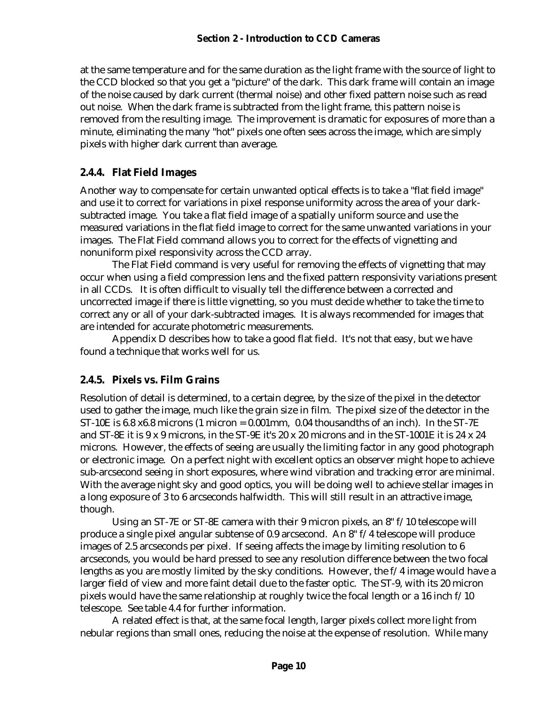at the same temperature and for the same duration as the light frame with the source of light to the CCD blocked so that you get a "picture" of the dark. This dark frame will contain an image of the noise caused by dark current (thermal noise) and other fixed pattern noise such as read out noise. When the dark frame is subtracted from the light frame, this pattern noise is removed from the resulting image. The improvement is dramatic for exposures of more than a minute, eliminating the many "hot" pixels one often sees across the image, which are simply pixels with higher dark current than average.

### **2.4.4. Flat Field Images**

Another way to compensate for certain unwanted optical effects is to take a "flat field image" and use it to correct for variations in pixel response uniformity across the area of your darksubtracted image. You take a flat field image of a spatially uniform source and use the measured variations in the flat field image to correct for the same unwanted variations in your images. The Flat Field command allows you to correct for the effects of vignetting and nonuniform pixel responsivity across the CCD array.

The Flat Field command is very useful for removing the effects of vignetting that may occur when using a field compression lens and the fixed pattern responsivity variations present in all CCDs. It is often difficult to visually tell the difference between a corrected and uncorrected image if there is little vignetting, so you must decide whether to take the time to correct any or all of your dark-subtracted images. It is always recommended for images that are intended for accurate photometric measurements.

Appendix D describes how to take a good flat field. It's not that easy, but we have found a technique that works well for us.

### **2.4.5. Pixels vs. Film Grains**

Resolution of detail is determined, to a certain degree, by the size of the pixel in the detector used to gather the image, much like the grain size in film. The pixel size of the detector in the ST-10E is 6.8  $x6.8$  microns (1 micron = 0.001mm, 0.04 thousandths of an inch). In the ST-7E and ST-8E it is  $9 \times 9$  microns, in the ST-9E it's  $20 \times 20$  microns and in the ST-1001E it is  $24 \times 24$ microns. However, the effects of seeing are usually the limiting factor in any good photograph or electronic image. On a perfect night with excellent optics an observer might hope to achieve sub-arcsecond seeing in short exposures, where wind vibration and tracking error are minimal. With the average night sky and good optics, you will be doing well to achieve stellar images in a long exposure of 3 to 6 arcseconds halfwidth. This will still result in an attractive image, though.

Using an ST-7E or ST-8E camera with their 9 micron pixels, an 8" f/10 telescope will produce a single pixel angular subtense of 0.9 arcsecond. An 8" f/4 telescope will produce images of 2.5 arcseconds per pixel. If seeing affects the image by limiting resolution to 6 arcseconds, you would be hard pressed to see any resolution difference between the two focal lengths as you are mostly limited by the sky conditions. However, the f/4 image would have a larger field of view and more faint detail due to the faster optic. The ST-9, with its 20 micron pixels would have the same relationship at roughly twice the focal length or a 16 inch f/10 telescope. See table 4.4 for further information.

A related effect is that, at the same focal length, larger pixels collect more light from nebular regions than small ones, reducing the noise at the expense of resolution. While many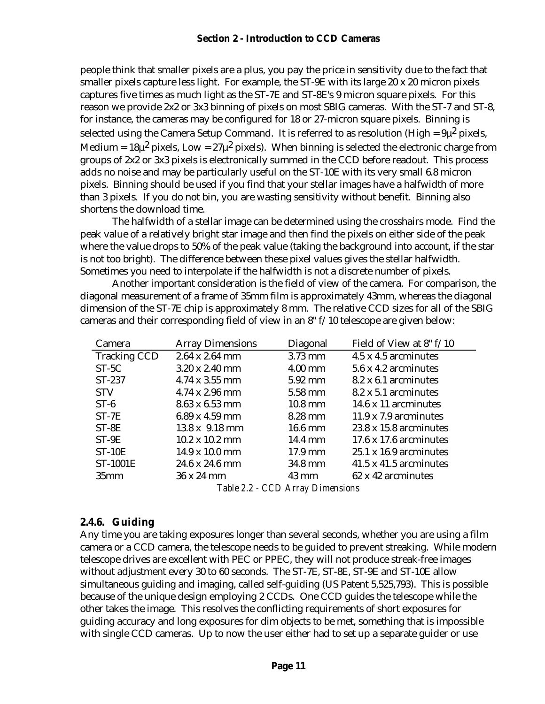people think that smaller pixels are a plus, you pay the price in sensitivity due to the fact that smaller pixels capture less light. For example, the ST-9E with its large 20 x 20 micron pixels captures five times as much light as the ST-7E and ST-8E's 9 micron square pixels. For this reason we provide 2x2 or 3x3 binning of pixels on most SBIG cameras. With the ST-7 and ST-8, for instance, the cameras may be configured for 18 or 27-micron square pixels. Binning is selected using the Camera Setup Command. It is referred to as resolution (High =  $9\mu^2$  pixels, Medium =  $18\mu^2$  pixels, Low =  $27\mu^2$  pixels). When binning is selected the electronic charge from groups of 2x2 or 3x3 pixels is electronically summed in the CCD before readout. This process adds no noise and may be particularly useful on the ST-10E with its very small 6.8 micron pixels. Binning should be used if you find that your stellar images have a halfwidth of more than 3 pixels. If you do not bin, you are wasting sensitivity without benefit. Binning also shortens the download time.

The halfwidth of a stellar image can be determined using the crosshairs mode. Find the peak value of a relatively bright star image and then find the pixels on either side of the peak where the value drops to 50% of the peak value (taking the background into account, if the star is not too bright). The difference between these pixel values gives the stellar halfwidth. Sometimes you need to interpolate if the halfwidth is not a discrete number of pixels.

Another important consideration is the field of view of the camera. For comparison, the diagonal measurement of a frame of 35mm film is approximately 43mm, whereas the diagonal dimension of the ST-7E chip is approximately 8 mm. The relative CCD sizes for all of the SBIG cameras and their corresponding field of view in an 8" f/10 telescope are given below:

| Camera              | <b>Array Dimensions</b>       | Diagonal          | Field of View at 8" f/10      |
|---------------------|-------------------------------|-------------------|-------------------------------|
| <b>Tracking CCD</b> | $2.64 \times 2.64$ mm         | 3.73 mm           | 4.5 x 4.5 arcminutes          |
| $ST-5C$             | $3.20 \times 2.40$ mm         | $4.00$ mm         | 5.6 x 4.2 arcminutes          |
| $ST-237$            | $4.74 \times 3.55$ mm         | $5.92 \text{ mm}$ | 8.2 x 6.1 arcminutes          |
| <b>STV</b>          | $4.74 \times 2.96$ mm         | 5.58 mm           | 8.2 x 5.1 arcminutes          |
| $ST-6$              | $8.63 \times 6.53$ mm         | $10.8 \text{ mm}$ | 14.6 x 11 arcminutes          |
| $ST-7E$             | $6.89 \times 4.59$ mm         | 8.28 mm           | $11.9 \times 7.9$ arcminutes  |
| $ST-8E$             | $13.8 \times 9.18 \text{ mm}$ | $16.6 \text{ mm}$ | $23.8 \times 15.8$ arcminutes |
| $ST-9E$             | $10.2 \times 10.2 \text{ mm}$ | 14.4 mm           | $17.6 \times 17.6$ arcminutes |
| $ST-10E$            | 14.9 x 10.0 mm                | $17.9 \text{ mm}$ | $25.1 \times 16.9$ arcminutes |
| <b>ST-1001E</b>     | $24.6 \times 24.6$ mm         | 34.8 mm           | $41.5 \times 41.5$ arcminutes |
| 35 <sub>mm</sub>    | 36 x 24 mm                    | $43 \text{ mm}$   | 62 x 42 arcminutes            |
|                     | $T-1$ $\Omega$ $\Omega$       | $CDA$ $D1$        |                               |

*Table 2.2 - CCD Array Dimensions*

### **2.4.6. Guiding**

Any time you are taking exposures longer than several seconds, whether you are using a film camera or a CCD camera, the telescope needs to be guided to prevent streaking. While modern telescope drives are excellent with PEC or PPEC, they will not produce streak-free images without adjustment every 30 to 60 seconds. The ST-7E, ST-8E, ST-9E and ST-10E allow simultaneous guiding and imaging, called self-guiding (US Patent 5,525,793). This is possible because of the unique design employing 2 CCDs. One CCD guides the telescope while the other takes the image. This resolves the conflicting requirements of short exposures for guiding accuracy and long exposures for dim objects to be met, something that is impossible with single CCD cameras. Up to now the user either had to set up a separate guider or use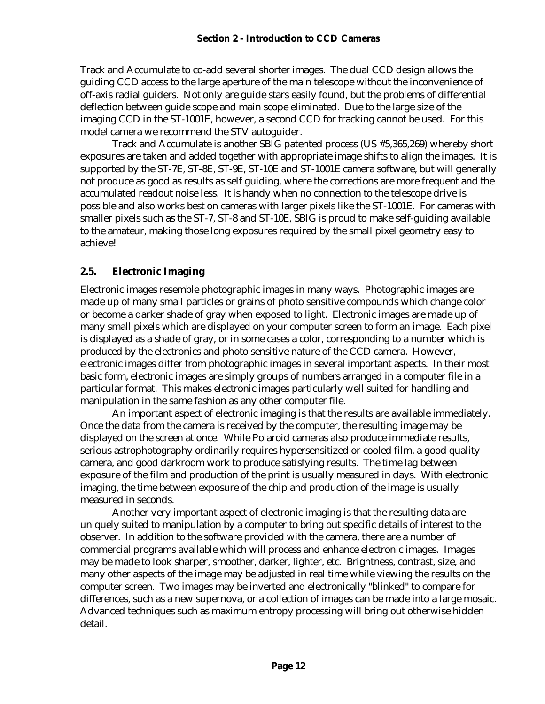Track and Accumulate to co-add several shorter images. The dual CCD design allows the guiding CCD access to the large aperture of the main telescope without the inconvenience of off-axis radial guiders. Not only are guide stars easily found, but the problems of differential deflection between guide scope and main scope eliminated. Due to the large size of the imaging CCD in the ST-1001E, however, a second CCD for tracking cannot be used. For this model camera we recommend the STV autoguider.

Track and Accumulate is another SBIG patented process (US #5,365,269) whereby short exposures are taken and added together with appropriate image shifts to align the images. It is supported by the ST-7E, ST-8E, ST-9E, ST-10E and ST-1001E camera software, but will generally not produce as good as results as self guiding, where the corrections are more frequent and the accumulated readout noise less. It is handy when no connection to the telescope drive is possible and also works best on cameras with larger pixels like the ST-1001E. For cameras with smaller pixels such as the ST-7, ST-8 and ST-10E, SBIG is proud to make self-guiding available to the amateur, making those long exposures required by the small pixel geometry easy to achieve!

# **2.5. Electronic Imaging**

Electronic images resemble photographic images in many ways. Photographic images are made up of many small particles or grains of photo sensitive compounds which change color or become a darker shade of gray when exposed to light. Electronic images are made up of many small pixels which are displayed on your computer screen to form an image. Each pixel is displayed as a shade of gray, or in some cases a color, corresponding to a number which is produced by the electronics and photo sensitive nature of the CCD camera. However, electronic images differ from photographic images in several important aspects. In their most basic form, electronic images are simply groups of numbers arranged in a computer file in a particular format. This makes electronic images particularly well suited for handling and manipulation in the same fashion as any other computer file.

An important aspect of electronic imaging is that the results are available immediately. Once the data from the camera is received by the computer, the resulting image may be displayed on the screen at once. While Polaroid cameras also produce immediate results, serious astrophotography ordinarily requires hypersensitized or cooled film, a good quality camera, and good darkroom work to produce satisfying results. The time lag between exposure of the film and production of the print is usually measured in days. With electronic imaging, the time between exposure of the chip and production of the image is usually measured in seconds.

Another very important aspect of electronic imaging is that the resulting data are uniquely suited to manipulation by a computer to bring out specific details of interest to the observer. In addition to the software provided with the camera, there are a number of commercial programs available which will process and enhance electronic images. Images may be made to look sharper, smoother, darker, lighter, etc. Brightness, contrast, size, and many other aspects of the image may be adjusted in real time while viewing the results on the computer screen. Two images may be inverted and electronically "blinked" to compare for differences, such as a new supernova, or a collection of images can be made into a large mosaic. Advanced techniques such as maximum entropy processing will bring out otherwise hidden detail.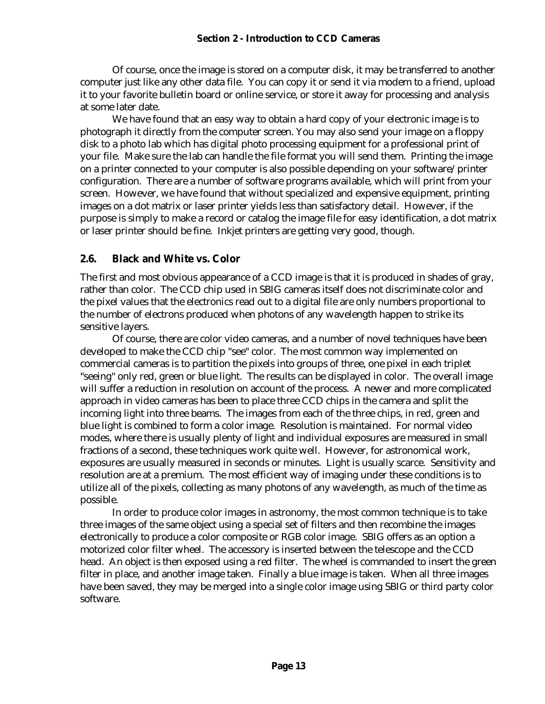#### **Section 2 - Introduction to CCD Cameras**

Of course, once the image is stored on a computer disk, it may be transferred to another computer just like any other data file. You can copy it or send it via modem to a friend, upload it to your favorite bulletin board or online service, or store it away for processing and analysis at some later date.

We have found that an easy way to obtain a hard copy of your electronic image is to photograph it directly from the computer screen. You may also send your image on a floppy disk to a photo lab which has digital photo processing equipment for a professional print of your file. Make sure the lab can handle the file format you will send them. Printing the image on a printer connected to your computer is also possible depending on your software/printer configuration. There are a number of software programs available, which will print from your screen. However, we have found that without specialized and expensive equipment, printing images on a dot matrix or laser printer yields less than satisfactory detail. However, if the purpose is simply to make a record or catalog the image file for easy identification, a dot matrix or laser printer should be fine. Inkjet printers are getting very good, though.

#### **2.6. Black and White vs. Color**

The first and most obvious appearance of a CCD image is that it is produced in shades of gray, rather than color. The CCD chip used in SBIG cameras itself does not discriminate color and the pixel values that the electronics read out to a digital file are only numbers proportional to the number of electrons produced when photons of any wavelength happen to strike its sensitive layers.

Of course, there are color video cameras, and a number of novel techniques have been developed to make the CCD chip "see" color. The most common way implemented on commercial cameras is to partition the pixels into groups of three, one pixel in each triplet "seeing" only red, green or blue light. The results can be displayed in color. The overall image will suffer a reduction in resolution on account of the process. A newer and more complicated approach in video cameras has been to place three CCD chips in the camera and split the incoming light into three beams. The images from each of the three chips, in red, green and blue light is combined to form a color image. Resolution is maintained. For normal video modes, where there is usually plenty of light and individual exposures are measured in small fractions of a second, these techniques work quite well. However, for astronomical work, exposures are usually measured in seconds or minutes. Light is usually scarce. Sensitivity and resolution are at a premium. The most efficient way of imaging under these conditions is to utilize all of the pixels, collecting as many photons of any wavelength, as much of the time as possible.

In order to produce color images in astronomy, the most common technique is to take three images of the same object using a special set of filters and then recombine the images electronically to produce a color composite or RGB color image. SBIG offers as an option a motorized color filter wheel. The accessory is inserted between the telescope and the CCD head. An object is then exposed using a red filter. The wheel is commanded to insert the green filter in place, and another image taken. Finally a blue image is taken. When all three images have been saved, they may be merged into a single color image using SBIG or third party color software.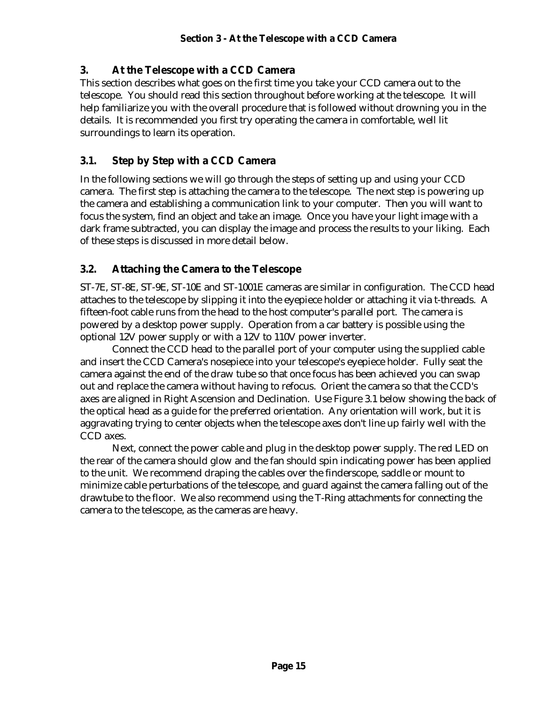### **3. At the Telescope with a CCD Camera**

This section describes what goes on the first time you take your CCD camera out to the telescope. You should read this section throughout before working at the telescope. It will help familiarize you with the overall procedure that is followed without drowning you in the details. It is recommended you first try operating the camera in comfortable, well lit surroundings to learn its operation.

### **3.1. Step by Step with a CCD Camera**

In the following sections we will go through the steps of setting up and using your CCD camera. The first step is attaching the camera to the telescope. The next step is powering up the camera and establishing a communication link to your computer. Then you will want to focus the system, find an object and take an image. Once you have your light image with a dark frame subtracted, you can display the image and process the results to your liking. Each of these steps is discussed in more detail below.

### **3.2. Attaching the Camera to the Telescope**

ST-7E, ST-8E, ST-9E, ST-10E and ST-1001E cameras are similar in configuration. The CCD head attaches to the telescope by slipping it into the eyepiece holder or attaching it via t-threads. A fifteen-foot cable runs from the head to the host computer's parallel port. The camera is powered by a desktop power supply. Operation from a car battery is possible using the optional 12V power supply or with a 12V to 110V power inverter.

Connect the CCD head to the parallel port of your computer using the supplied cable and insert the CCD Camera's nosepiece into your telescope's eyepiece holder. Fully seat the camera against the end of the draw tube so that once focus has been achieved you can swap out and replace the camera without having to refocus. Orient the camera so that the CCD's axes are aligned in Right Ascension and Declination. Use Figure 3.1 below showing the back of the optical head as a guide for the preferred orientation. Any orientation will work, but it is aggravating trying to center objects when the telescope axes don't line up fairly well with the CCD axes.

Next, connect the power cable and plug in the desktop power supply. The red LED on the rear of the camera should glow and the fan should spin indicating power has been applied to the unit. We recommend draping the cables over the finderscope, saddle or mount to minimize cable perturbations of the telescope, and guard against the camera falling out of the drawtube to the floor. We also recommend using the T-Ring attachments for connecting the camera to the telescope, as the cameras are heavy.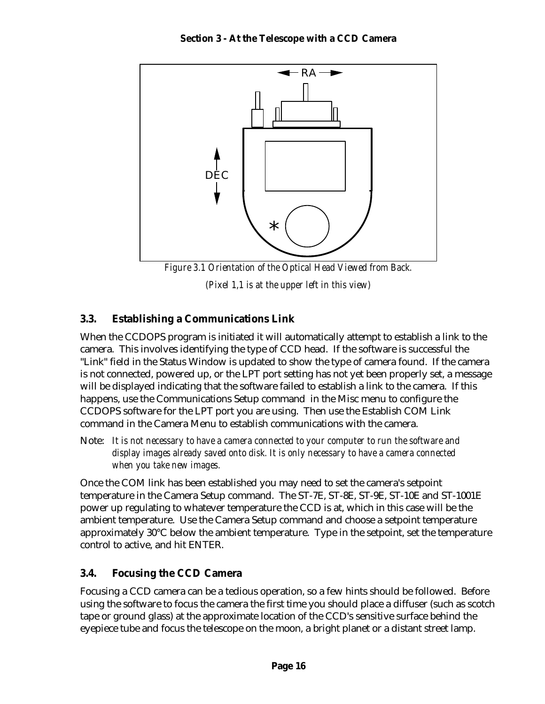

*(Pixel 1,1 is at the upper left in this view)*

### **3.3. Establishing a Communications Link**

When the CCDOPS program is initiated it will automatically attempt to establish a link to the camera. This involves identifying the type of CCD head. If the software is successful the "Link" field in the Status Window is updated to show the type of camera found. If the camera is not connected, powered up, or the LPT port setting has not yet been properly set, a message will be displayed indicating that the software failed to establish a link to the camera. If this happens, use the Communications Setup command in the Misc menu to configure the CCDOPS software for the LPT port you are using. Then use the Establish COM Link command in the Camera Menu to establish communications with the camera.

Note: *It is not necessary to have a camera connected to your computer to run the software and display images already saved onto disk. It is only necessary to have a camera connected when you take new images.*

Once the COM link has been established you may need to set the camera's setpoint temperature in the Camera Setup command. The ST-7E, ST-8E, ST-9E, ST-10E and ST-1001E power up regulating to whatever temperature the CCD is at, which in this case will be the ambient temperature. Use the Camera Setup command and choose a setpoint temperature approximately 30°C below the ambient temperature. Type in the setpoint, set the temperature control to active, and hit ENTER.

# **3.4. Focusing the CCD Camera**

Focusing a CCD camera can be a tedious operation, so a few hints should be followed. Before using the software to focus the camera the first time you should place a diffuser (such as scotch tape or ground glass) at the approximate location of the CCD's sensitive surface behind the eyepiece tube and focus the telescope on the moon, a bright planet or a distant street lamp.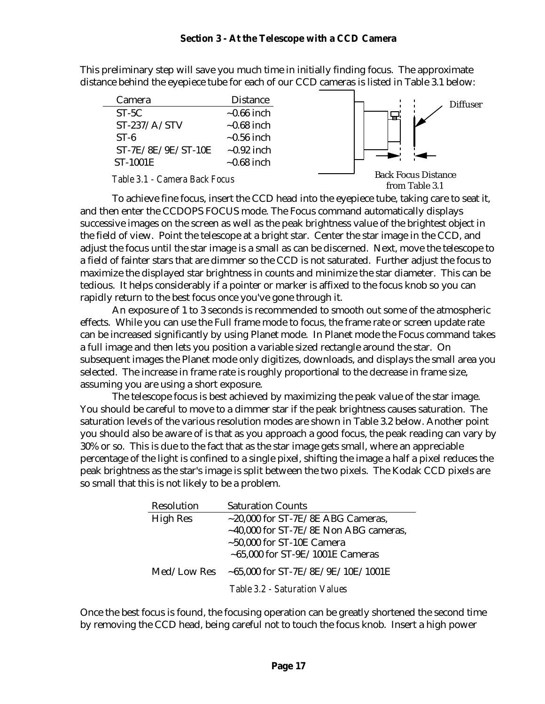This preliminary step will save you much time in initially finding focus. The approximate distance behind the eyepiece tube for each of our CCD cameras is listed in Table 3.1 below:

| Camera               | <b>Distance</b>  |
|----------------------|------------------|
| $ST-5C$              | $\sim 0.66$ inch |
| $ST-237/A/STV$       | $\sim 0.68$ inch |
| $ST-6$               | $\sim 0.56$ inch |
| $ST-7E/8E/9E/ST-10E$ | $\sim 0.92$ inch |
| <b>ST-1001E</b>      | $\sim 0.68$ inch |
|                      |                  |



from Table 3.1

To achieve fine focus, insert the CCD head into the eyepiece tube, taking care to seat it, and then enter the CCDOPS FOCUS mode. The Focus command automatically displays successive images on the screen as well as the peak brightness value of the brightest object in the field of view. Point the telescope at a bright star. Center the star image in the CCD, and adjust the focus until the star image is a small as can be discerned. Next, move the telescope to a field of fainter stars that are dimmer so the CCD is not saturated. Further adjust the focus to maximize the displayed star brightness in counts and minimize the star diameter. This can be tedious. It helps considerably if a pointer or marker is affixed to the focus knob so you can rapidly return to the best focus once you've gone through it.

An exposure of 1 to 3 seconds is recommended to smooth out some of the atmospheric effects. While you can use the Full frame mode to focus, the frame rate or screen update rate can be increased significantly by using Planet mode. In Planet mode the Focus command takes a full image and then lets you position a variable sized rectangle around the star. On subsequent images the Planet mode only digitizes, downloads, and displays the small area you selected. The increase in frame rate is roughly proportional to the decrease in frame size, assuming you are using a short exposure.

The telescope focus is best achieved by maximizing the peak value of the star image. You should be careful to move to a dimmer star if the peak brightness causes saturation. The saturation levels of the various resolution modes are shown in Table 3.2 below. Another point you should also be aware of is that as you approach a good focus, the peak reading can vary by 30% or so. This is due to the fact that as the star image gets small, where an appreciable percentage of the light is confined to a single pixel, shifting the image a half a pixel reduces the peak brightness as the star's image is split between the two pixels. The Kodak CCD pixels are so small that this is not likely to be a problem.

| Resolution      | <b>Saturation Counts</b>                    |
|-----------------|---------------------------------------------|
| <b>High Res</b> | $\sim$ 20,000 for ST-7E/8E ABG Cameras,     |
|                 | $\sim$ 40,000 for ST-7E/8E Non ABG cameras, |
|                 | $\sim$ 50,000 for ST-10E Camera             |
|                 | $\sim$ 65,000 for ST-9E/1001E Cameras       |
| Med/Low Res     | $~1001$ for ST-7E/8E/9E/10E/1001E           |
|                 | Table 3.2 - Saturation Values               |

Once the best focus is found, the focusing operation can be greatly shortened the second time by removing the CCD head, being careful not to touch the focus knob. Insert a high power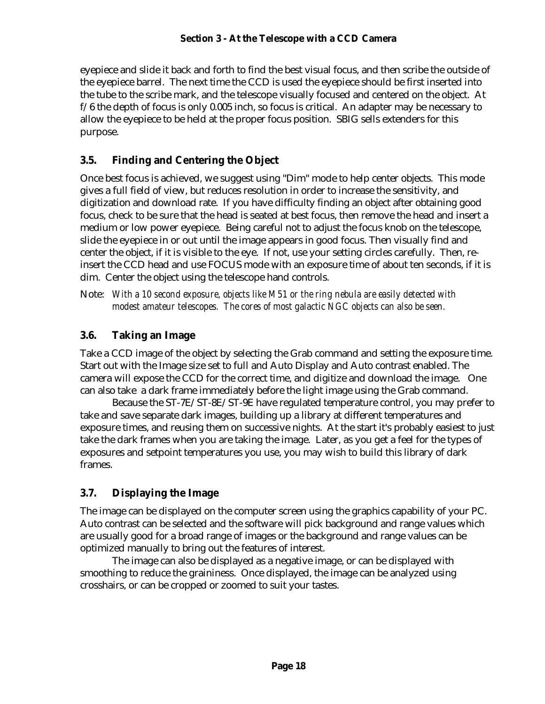eyepiece and slide it back and forth to find the best visual focus, and then scribe the outside of the eyepiece barrel. The next time the CCD is used the eyepiece should be first inserted into the tube to the scribe mark, and the telescope visually focused and centered on the object. At  $f/6$  the depth of focus is only 0.005 inch, so focus is critical. An adapter may be necessary to allow the eyepiece to be held at the proper focus position. SBIG sells extenders for this purpose.

### **3.5. Finding and Centering the Object**

Once best focus is achieved, we suggest using "Dim" mode to help center objects. This mode gives a full field of view, but reduces resolution in order to increase the sensitivity, and digitization and download rate. If you have difficulty finding an object after obtaining good focus, check to be sure that the head is seated at best focus, then remove the head and insert a medium or low power eyepiece. Being careful not to adjust the focus knob on the telescope, slide the eyepiece in or out until the image appears in good focus. Then visually find and center the object, if it is visible to the eye. If not, use your setting circles carefully. Then, reinsert the CCD head and use FOCUS mode with an exposure time of about ten seconds, if it is dim. Center the object using the telescope hand controls.

Note: *With a 10 second exposure, objects like M51 or the ring nebula are easily detected with modest amateur telescopes. The cores of most galactic NGC objects can also be seen.*

### **3.6. Taking an Image**

Take a CCD image of the object by selecting the Grab command and setting the exposure time. Start out with the Image size set to full and Auto Display and Auto contrast enabled. The camera will expose the CCD for the correct time, and digitize and download the image. One can also take a dark frame immediately before the light image using the Grab command.

Because the ST-7E/ST-8E/ST-9E have regulated temperature control, you may prefer to take and save separate dark images, building up a library at different temperatures and exposure times, and reusing them on successive nights. At the start it's probably easiest to just take the dark frames when you are taking the image. Later, as you get a feel for the types of exposures and setpoint temperatures you use, you may wish to build this library of dark frames.

# **3.7. Displaying the Image**

The image can be displayed on the computer screen using the graphics capability of your PC. Auto contrast can be selected and the software will pick background and range values which are usually good for a broad range of images or the background and range values can be optimized manually to bring out the features of interest.

The image can also be displayed as a negative image, or can be displayed with smoothing to reduce the graininess. Once displayed, the image can be analyzed using crosshairs, or can be cropped or zoomed to suit your tastes.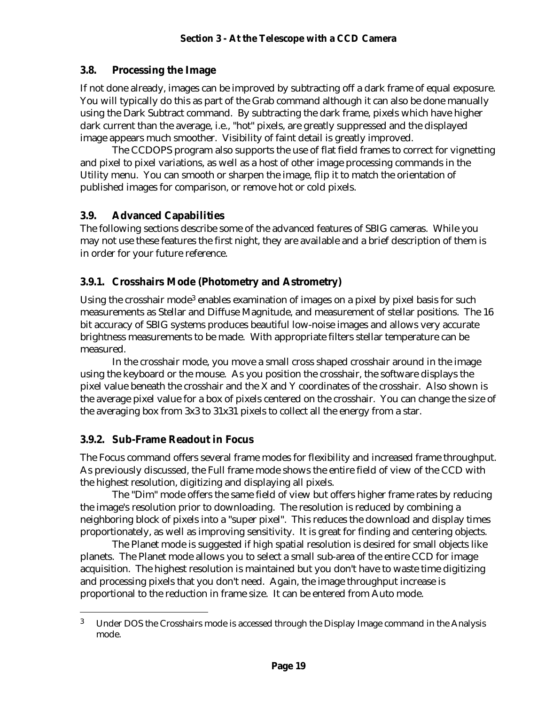### **3.8. Processing the Image**

If not done already, images can be improved by subtracting off a dark frame of equal exposure. You will typically do this as part of the Grab command although it can also be done manually using the Dark Subtract command. By subtracting the dark frame, pixels which have higher dark current than the average, i.e., "hot" pixels, are greatly suppressed and the displayed image appears much smoother. Visibility of faint detail is greatly improved.

The CCDOPS program also supports the use of flat field frames to correct for vignetting and pixel to pixel variations, as well as a host of other image processing commands in the Utility menu. You can smooth or sharpen the image, flip it to match the orientation of published images for comparison, or remove hot or cold pixels.

### **3.9. Advanced Capabilities**

The following sections describe some of the advanced features of SBIG cameras. While you may not use these features the first night, they are available and a brief description of them is in order for your future reference.

### **3.9.1. Crosshairs Mode (Photometry and Astrometry)**

Using the crosshair mode<sup>3</sup> enables examination of images on a pixel by pixel basis for such measurements as Stellar and Diffuse Magnitude, and measurement of stellar positions. The 16 bit accuracy of SBIG systems produces beautiful low-noise images and allows very accurate brightness measurements to be made. With appropriate filters stellar temperature can be measured.

In the crosshair mode, you move a small cross shaped crosshair around in the image using the keyboard or the mouse. As you position the crosshair, the software displays the pixel value beneath the crosshair and the X and Y coordinates of the crosshair. Also shown is the average pixel value for a box of pixels centered on the crosshair. You can change the size of the averaging box from 3x3 to 31x31 pixels to collect all the energy from a star.

### **3.9.2. Sub-Frame Readout in Focus**

 $\overline{a}$ 

The Focus command offers several frame modes for flexibility and increased frame throughput. As previously discussed, the Full frame mode shows the entire field of view of the CCD with the highest resolution, digitizing and displaying all pixels.

The "Dim" mode offers the same field of view but offers higher frame rates by reducing the image's resolution prior to downloading. The resolution is reduced by combining a neighboring block of pixels into a "super pixel". This reduces the download and display times proportionately, as well as improving sensitivity. It is great for finding and centering objects.

The Planet mode is suggested if high spatial resolution is desired for small objects like planets. The Planet mode allows you to select a small sub-area of the entire CCD for image acquisition. The highest resolution is maintained but you don't have to waste time digitizing and processing pixels that you don't need. Again, the image throughput increase is proportional to the reduction in frame size. It can be entered from Auto mode.

 $3$  Under DOS the Crosshairs mode is accessed through the Display Image command in the Analysis mode.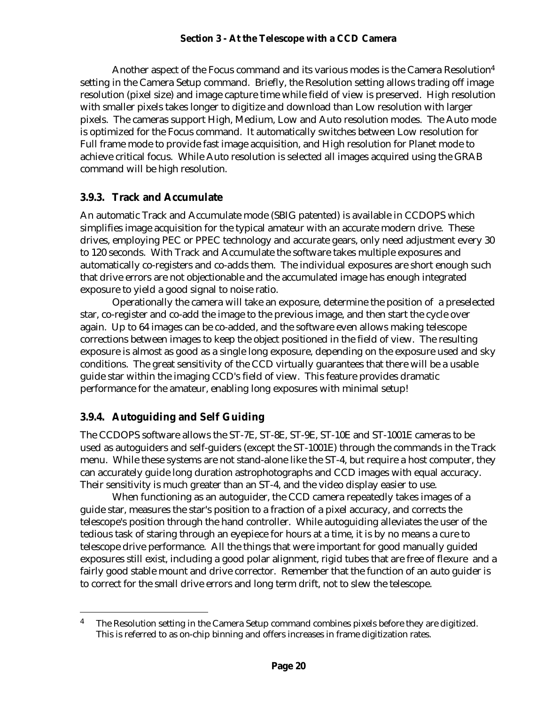Another aspect of the Focus command and its various modes is the Camera Resolution<sup>4</sup> setting in the Camera Setup command. Briefly, the Resolution setting allows trading off image resolution (pixel size) and image capture time while field of view is preserved. High resolution with smaller pixels takes longer to digitize and download than Low resolution with larger pixels. The cameras support High, Medium, Low and Auto resolution modes. The Auto mode is optimized for the Focus command. It automatically switches between Low resolution for Full frame mode to provide fast image acquisition, and High resolution for Planet mode to achieve critical focus. While Auto resolution is selected all images acquired using the GRAB command will be high resolution.

### **3.9.3. Track and Accumulate**

An automatic Track and Accumulate mode (SBIG patented) is available in CCDOPS which simplifies image acquisition for the typical amateur with an accurate modern drive. These drives, employing PEC or PPEC technology and accurate gears, only need adjustment every 30 to 120 seconds. With Track and Accumulate the software takes multiple exposures and automatically co-registers and co-adds them. The individual exposures are short enough such that drive errors are not objectionable and the accumulated image has enough integrated exposure to yield a good signal to noise ratio.

Operationally the camera will take an exposure, determine the position of a preselected star, co-register and co-add the image to the previous image, and then start the cycle over again. Up to 64 images can be co-added, and the software even allows making telescope corrections between images to keep the object positioned in the field of view. The resulting exposure is almost as good as a single long exposure, depending on the exposure used and sky conditions. The great sensitivity of the CCD virtually guarantees that there will be a usable guide star within the imaging CCD's field of view. This feature provides dramatic performance for the amateur, enabling long exposures with minimal setup!

# **3.9.4. Autoguiding and Self Guiding**

 $\overline{a}$ 

The CCDOPS software allows the ST-7E, ST-8E, ST-9E, ST-10E and ST-1001E cameras to be used as autoguiders and self-guiders (except the ST-1001E) through the commands in the Track menu. While these systems are not stand-alone like the ST-4, but require a host computer, they can accurately guide long duration astrophotographs and CCD images with equal accuracy. Their sensitivity is much greater than an ST-4, and the video display easier to use.

When functioning as an autoguider, the CCD camera repeatedly takes images of a guide star, measures the star's position to a fraction of a pixel accuracy, and corrects the telescope's position through the hand controller. While autoguiding alleviates the user of the tedious task of staring through an eyepiece for hours at a time, it is by no means a cure to telescope drive performance. All the things that were important for good manually guided exposures still exist, including a good polar alignment, rigid tubes that are free of flexure and a fairly good stable mount and drive corrector. Remember that the function of an auto guider is to correct for the small drive errors and long term drift, not to slew the telescope.

<sup>&</sup>lt;sup>4</sup> The Resolution setting in the Camera Setup command combines pixels before they are digitized. This is referred to as on-chip binning and offers increases in frame digitization rates.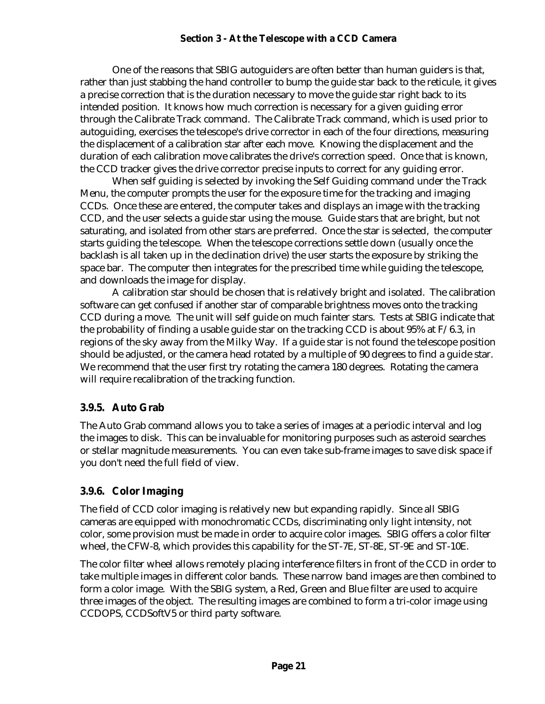One of the reasons that SBIG autoguiders are often better than human guiders is that, rather than just stabbing the hand controller to bump the guide star back to the reticule, it gives a precise correction that is the duration necessary to move the guide star right back to its intended position. It knows how much correction is necessary for a given guiding error through the Calibrate Track command. The Calibrate Track command, which is used prior to autoguiding, exercises the telescope's drive corrector in each of the four directions, measuring the displacement of a calibration star after each move. Knowing the displacement and the duration of each calibration move calibrates the drive's correction speed. Once that is known, the CCD tracker gives the drive corrector precise inputs to correct for any guiding error.

When self guiding is selected by invoking the Self Guiding command under the Track Menu, the computer prompts the user for the exposure time for the tracking and imaging CCDs. Once these are entered, the computer takes and displays an image with the tracking CCD, and the user selects a guide star using the mouse. Guide stars that are bright, but not saturating, and isolated from other stars are preferred. Once the star is selected, the computer starts guiding the telescope. When the telescope corrections settle down (usually once the backlash is all taken up in the declination drive) the user starts the exposure by striking the space bar. The computer then integrates for the prescribed time while guiding the telescope, and downloads the image for display.

A calibration star should be chosen that is relatively bright and isolated. The calibration software can get confused if another star of comparable brightness moves onto the tracking CCD during a move. The unit will self guide on much fainter stars. Tests at SBIG indicate that the probability of finding a usable guide star on the tracking CCD is about 95% at F/6.3, in regions of the sky away from the Milky Way. If a guide star is not found the telescope position should be adjusted, or the camera head rotated by a multiple of 90 degrees to find a guide star. We recommend that the user first try rotating the camera 180 degrees. Rotating the camera will require recalibration of the tracking function.

### **3.9.5. Auto Grab**

The Auto Grab command allows you to take a series of images at a periodic interval and log the images to disk. This can be invaluable for monitoring purposes such as asteroid searches or stellar magnitude measurements. You can even take sub-frame images to save disk space if you don't need the full field of view.

### **3.9.6. Color Imaging**

The field of CCD color imaging is relatively new but expanding rapidly. Since all SBIG cameras are equipped with monochromatic CCDs, discriminating only light intensity, not color, some provision must be made in order to acquire color images. SBIG offers a color filter wheel, the CFW-8, which provides this capability for the ST-7E, ST-8E, ST-9E and ST-10E.

The color filter wheel allows remotely placing interference filters in front of the CCD in order to take multiple images in different color bands. These narrow band images are then combined to form a color image. With the SBIG system, a Red, Green and Blue filter are used to acquire three images of the object. The resulting images are combined to form a tri-color image using CCDOPS, CCDSoftV5 or third party software.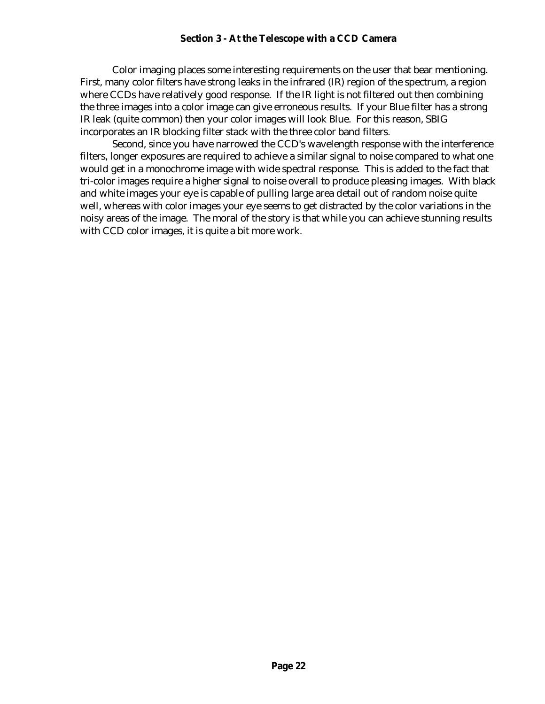Color imaging places some interesting requirements on the user that bear mentioning. First, many color filters have strong leaks in the infrared (IR) region of the spectrum, a region where CCDs have relatively good response. If the IR light is not filtered out then combining the three images into a color image can give erroneous results. If your Blue filter has a strong IR leak (quite common) then your color images will look Blue. For this reason, SBIG incorporates an IR blocking filter stack with the three color band filters.

Second, since you have narrowed the CCD's wavelength response with the interference filters, longer exposures are required to achieve a similar signal to noise compared to what one would get in a monochrome image with wide spectral response. This is added to the fact that tri-color images require a higher signal to noise overall to produce pleasing images. With black and white images your eye is capable of pulling large area detail out of random noise quite well, whereas with color images your eye seems to get distracted by the color variations in the noisy areas of the image. The moral of the story is that while you can achieve stunning results with CCD color images, it is quite a bit more work.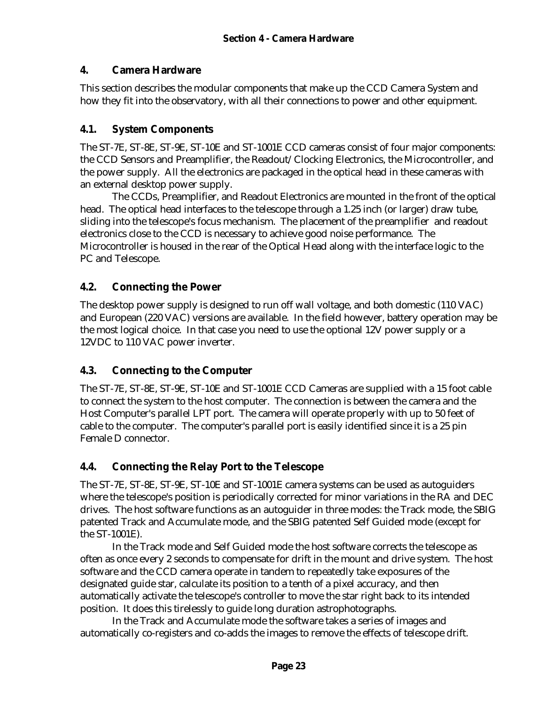### **4. Camera Hardware**

This section describes the modular components that make up the CCD Camera System and how they fit into the observatory, with all their connections to power and other equipment.

### **4.1. System Components**

The ST-7E, ST-8E, ST-9E, ST-10E and ST-1001E CCD cameras consist of four major components: the CCD Sensors and Preamplifier, the Readout/Clocking Electronics, the Microcontroller, and the power supply. All the electronics are packaged in the optical head in these cameras with an external desktop power supply.

The CCDs, Preamplifier, and Readout Electronics are mounted in the front of the optical head. The optical head interfaces to the telescope through a 1.25 inch (or larger) draw tube, sliding into the telescope's focus mechanism. The placement of the preamplifier and readout electronics close to the CCD is necessary to achieve good noise performance. The Microcontroller is housed in the rear of the Optical Head along with the interface logic to the PC and Telescope.

### **4.2. Connecting the Power**

The desktop power supply is designed to run off wall voltage, and both domestic (110 VAC) and European (220 VAC) versions are available. In the field however, battery operation may be the most logical choice. In that case you need to use the optional 12V power supply or a 12VDC to 110 VAC power inverter.

### **4.3. Connecting to the Computer**

The ST-7E, ST-8E, ST-9E, ST-10E and ST-1001E CCD Cameras are supplied with a 15 foot cable to connect the system to the host computer. The connection is between the camera and the Host Computer's parallel LPT port. The camera will operate properly with up to 50 feet of cable to the computer. The computer's parallel port is easily identified since it is a 25 pin Female D connector.

### **4.4. Connecting the Relay Port to the Telescope**

The ST-7E, ST-8E, ST-9E, ST-10E and ST-1001E camera systems can be used as autoguiders where the telescope's position is periodically corrected for minor variations in the RA and DEC drives. The host software functions as an autoguider in three modes: the Track mode, the SBIG patented Track and Accumulate mode, and the SBIG patented Self Guided mode (except for the ST-1001E).

In the Track mode and Self Guided mode the host software corrects the telescope as often as once every 2 seconds to compensate for drift in the mount and drive system. The host software and the CCD camera operate in tandem to repeatedly take exposures of the designated guide star, calculate its position to a tenth of a pixel accuracy, and then automatically activate the telescope's controller to move the star right back to its intended position. It does this tirelessly to guide long duration astrophotographs.

In the Track and Accumulate mode the software takes a series of images and automatically co-registers and co-adds the images to remove the effects of telescope drift.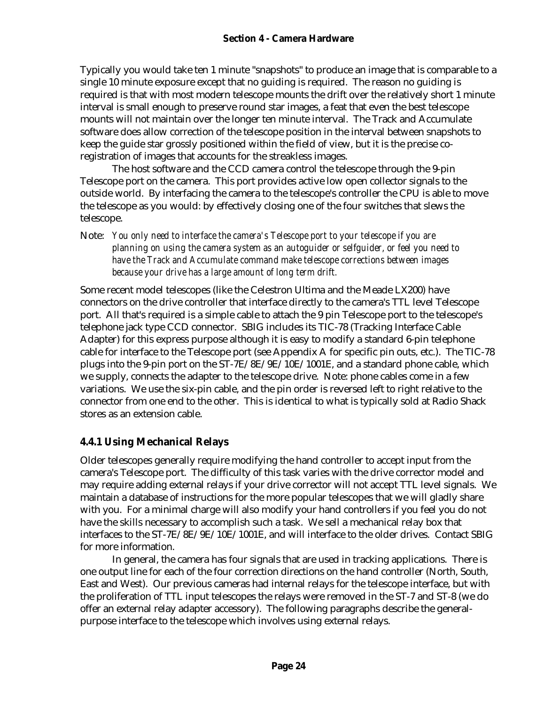Typically you would take ten 1 minute "snapshots" to produce an image that is comparable to a single 10 minute exposure except that no guiding is required. The reason no guiding is required is that with most modern telescope mounts the drift over the relatively short 1 minute interval is small enough to preserve round star images, a feat that even the best telescope mounts will not maintain over the longer ten minute interval. The Track and Accumulate software does allow correction of the telescope position in the interval between snapshots to keep the guide star grossly positioned within the field of view, but it is the precise coregistration of images that accounts for the streakless images.

The host software and the CCD camera control the telescope through the 9-pin Telescope port on the camera. This port provides active low open collector signals to the outside world. By interfacing the camera to the telescope's controller the CPU is able to move the telescope as you would: by effectively closing one of the four switches that slews the telescope.

Note: *You only need to interface the camera's Telescope port to your telescope if you are planning on using the camera system as an autoguider or selfguider, or feel you need to have the Track and Accumulate command make telescope corrections between images because your drive has a large amount of long term drift.*

Some recent model telescopes (like the Celestron Ultima and the Meade LX200) have connectors on the drive controller that interface directly to the camera's TTL level Telescope port. All that's required is a simple cable to attach the 9 pin Telescope port to the telescope's telephone jack type CCD connector. SBIG includes its TIC-78 (Tracking Interface Cable Adapter) for this express purpose although it is easy to modify a standard 6-pin telephone cable for interface to the Telescope port (see Appendix A for specific pin outs, etc.). The TIC-78 plugs into the 9-pin port on the ST-7E/8E/9E/10E/1001E, and a standard phone cable, which we supply, connects the adapter to the telescope drive. Note: phone cables come in a few variations. We use the six-pin cable, and the pin order is reversed left to right relative to the connector from one end to the other. This is identical to what is typically sold at Radio Shack stores as an extension cable.

# **4.4.1 Using Mechanical Relays**

Older telescopes generally require modifying the hand controller to accept input from the camera's Telescope port. The difficulty of this task varies with the drive corrector model and may require adding external relays if your drive corrector will not accept TTL level signals. We maintain a database of instructions for the more popular telescopes that we will gladly share with you. For a minimal charge will also modify your hand controllers if you feel you do not have the skills necessary to accomplish such a task. We sell a mechanical relay box that interfaces to the ST-7E/8E/9E/10E/1001E, and will interface to the older drives. Contact SBIG for more information.

In general, the camera has four signals that are used in tracking applications. There is one output line for each of the four correction directions on the hand controller (North, South, East and West). Our previous cameras had internal relays for the telescope interface, but with the proliferation of TTL input telescopes the relays were removed in the ST-7 and ST-8 (we do offer an external relay adapter accessory). The following paragraphs describe the generalpurpose interface to the telescope which involves using external relays.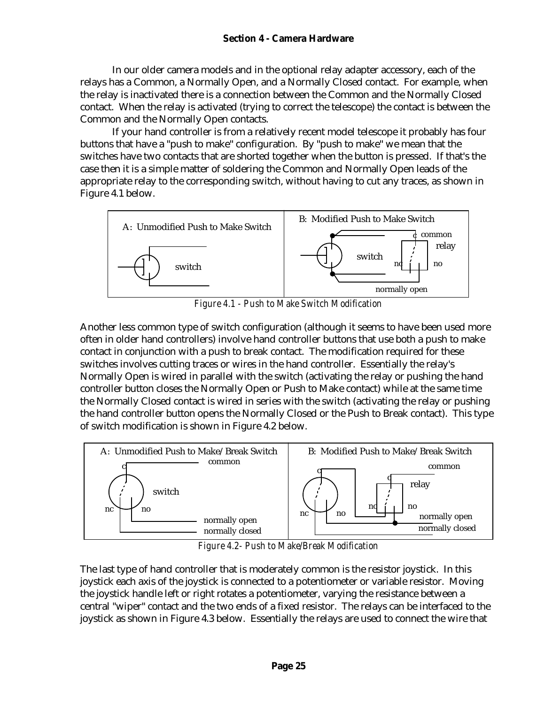In our older camera models and in the optional relay adapter accessory, each of the relays has a Common, a Normally Open, and a Normally Closed contact. For example, when the relay is inactivated there is a connection between the Common and the Normally Closed contact. When the relay is activated (trying to correct the telescope) the contact is between the Common and the Normally Open contacts.

If your hand controller is from a relatively recent model telescope it probably has four buttons that have a "push to make" configuration. By "push to make" we mean that the switches have two contacts that are shorted together when the button is pressed. If that's the case then it is a simple matter of soldering the Common and Normally Open leads of the appropriate relay to the corresponding switch, without having to cut any traces, as shown in Figure 4.1 below.



*Figure 4.1 - Push to Make Switch Modification*

Another less common type of switch configuration (although it seems to have been used more often in older hand controllers) involve hand controller buttons that use both a push to make contact in conjunction with a push to break contact. The modification required for these switches involves cutting traces or wires in the hand controller. Essentially the relay's Normally Open is wired in parallel with the switch (activating the relay or pushing the hand controller button closes the Normally Open or Push to Make contact) while at the same time the Normally Closed contact is wired in series with the switch (activating the relay or pushing the hand controller button opens the Normally Closed or the Push to Break contact). This type of switch modification is shown in Figure 4.2 below.



*Figure 4.2- Push to Make/Break Modification*

The last type of hand controller that is moderately common is the resistor joystick. In this joystick each axis of the joystick is connected to a potentiometer or variable resistor. Moving the joystick handle left or right rotates a potentiometer, varying the resistance between a central "wiper" contact and the two ends of a fixed resistor. The relays can be interfaced to the joystick as shown in Figure 4.3 below. Essentially the relays are used to connect the wire that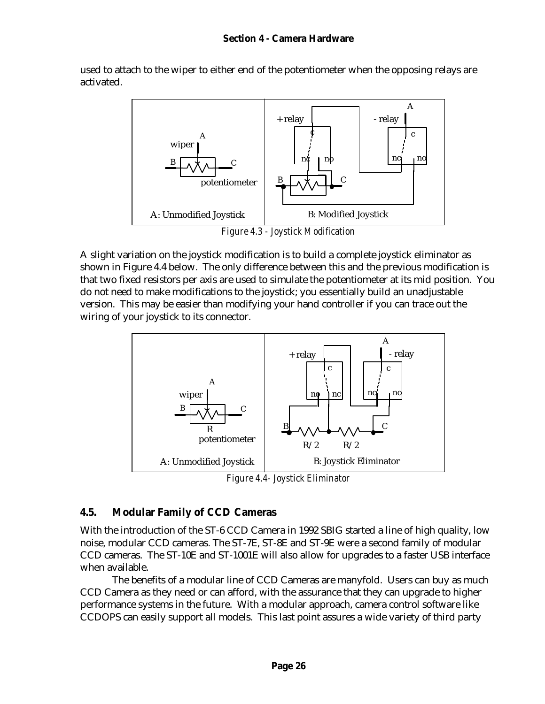#### **Section 4 - Camera Hardware**

used to attach to the wiper to either end of the potentiometer when the opposing relays are activated.



*Figure 4.3 - Joystick Modification*

A slight variation on the joystick modification is to build a complete joystick eliminator as shown in Figure 4.4 below. The only difference between this and the previous modification is that two fixed resistors per axis are used to simulate the potentiometer at its mid position. You do not need to make modifications to the joystick; you essentially build an unadjustable version. This may be easier than modifying your hand controller if you can trace out the wiring of your joystick to its connector.



*Figure 4.4- Joystick Eliminator*

#### **4.5. Modular Family of CCD Cameras**

With the introduction of the ST-6 CCD Camera in 1992 SBIG started a line of high quality, low noise, modular CCD cameras. The ST-7E, ST-8E and ST-9E were a second family of modular CCD cameras. The ST-10E and ST-1001E will also allow for upgrades to a faster USB interface when available.

The benefits of a modular line of CCD Cameras are manyfold. Users can buy as much CCD Camera as they need or can afford, with the assurance that they can upgrade to higher performance systems in the future. With a modular approach, camera control software like CCDOPS can easily support all models. This last point assures a wide variety of third party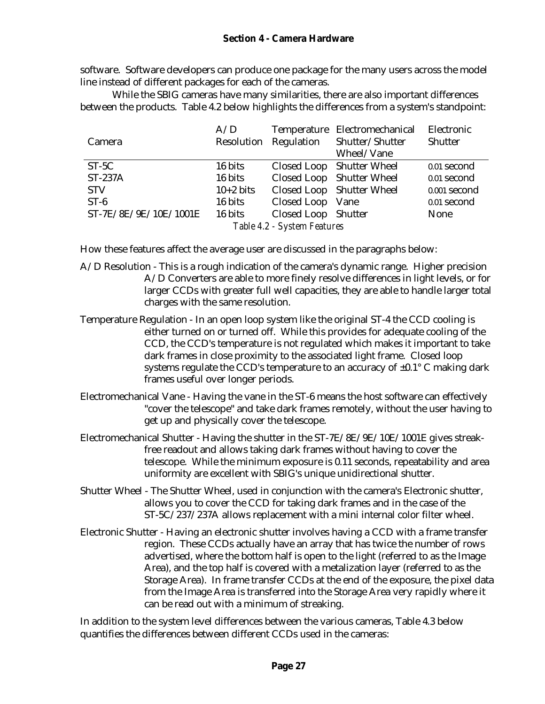software. Software developers can produce one package for the many users across the model line instead of different packages for each of the cameras.

While the SBIG cameras have many similarities, there are also important differences between the products. Table 4.2 below highlights the differences from a system's standpoint:

| Camera                      | A/D<br>Resolution | Regulation          | Temperature Electromechanical<br>Shutter/Shutter | Electronic<br>Shutter |
|-----------------------------|-------------------|---------------------|--------------------------------------------------|-----------------------|
|                             |                   |                     | Wheel/Vane                                       |                       |
| $ST-5C$                     | 16 bits           |                     | Closed Loop Shutter Wheel                        | 0.01 second           |
| <b>ST-237A</b>              | 16 bits           |                     | Closed Loop Shutter Wheel                        | 0.01 second           |
| <b>STV</b>                  | $10+2$ bits       |                     | Closed Loop Shutter Wheel                        | 0.001 second          |
| $ST-6$                      | 16 bits           | Closed Loop Vane    |                                                  | 0.01 second           |
| ST-7E/8E/9E/10E/1001E       | 16 bits           | Closed Loop Shutter |                                                  | None                  |
| Table 4.2 - System Features |                   |                     |                                                  |                       |

How these features affect the average user are discussed in the paragraphs below:

- A/D Resolution This is a rough indication of the camera's dynamic range. Higher precision A/D Converters are able to more finely resolve differences in light levels, or for larger CCDs with greater full well capacities, they are able to handle larger total charges with the same resolution.
- Temperature Regulation In an open loop system like the original ST-4 the CCD cooling is either turned on or turned off. While this provides for adequate cooling of the CCD, the CCD's temperature is not regulated which makes it important to take dark frames in close proximity to the associated light frame. Closed loop systems regulate the CCD's temperature to an accuracy of  $\pm 0.1^{\circ}$  C making dark frames useful over longer periods.
- Electromechanical Vane Having the vane in the ST-6 means the host software can effectively "cover the telescope" and take dark frames remotely, without the user having to get up and physically cover the telescope.
- Electromechanical Shutter Having the shutter in the ST-7E/8E/9E/10E/1001E gives streakfree readout and allows taking dark frames without having to cover the telescope. While the minimum exposure is 0.11 seconds, repeatability and area uniformity are excellent with SBIG's unique unidirectional shutter.
- Shutter Wheel The Shutter Wheel, used in conjunction with the camera's Electronic shutter, allows you to cover the CCD for taking dark frames and in the case of the ST-5C/237/237A allows replacement with a mini internal color filter wheel.
- Electronic Shutter Having an electronic shutter involves having a CCD with a frame transfer region. These CCDs actually have an array that has twice the number of rows advertised, where the bottom half is open to the light (referred to as the Image Area), and the top half is covered with a metalization layer (referred to as the Storage Area). In frame transfer CCDs at the end of the exposure, the pixel data from the Image Area is transferred into the Storage Area very rapidly where it can be read out with a minimum of streaking.

In addition to the system level differences between the various cameras, Table 4.3 below quantifies the differences between different CCDs used in the cameras: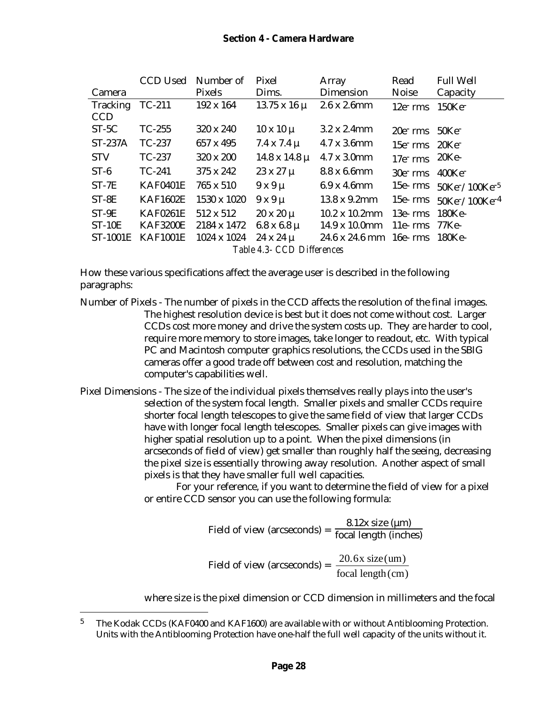|                            | <b>CCD Used</b>   | Number of        | Pixel                  | Array                                  | Read                                       | <b>Full Well</b>                                     |
|----------------------------|-------------------|------------------|------------------------|----------------------------------------|--------------------------------------------|------------------------------------------------------|
| Camera                     |                   | Pixels           | Dims.                  | Dimension                              | <b>Noise</b>                               | Capacity                                             |
| Tracking                   | TC-211            | 192 x 164        | $13.75 \times 16 \mu$  | 2.6x2.6mm                              | $12e$ rms                                  | $150$ Ke <sup>-</sup>                                |
| <b>CCD</b>                 |                   |                  |                        |                                        |                                            |                                                      |
| $ST-5C$                    | $TC-255$          | 320 x 240        | $10 \times 10 \mu$     | $3.2 \times 2.4$ mm                    | $20e$ rms $50Ke$                           |                                                      |
| $ST-237A$                  | TC-237            | 657 x 495        | $7.4 \times 7.4 \mu$   | $4.7 \times 3.6$ mm                    | $15e$ <sup>-</sup> rms $20Ke$ <sup>-</sup> |                                                      |
| <b>STV</b>                 | TC-237            | 320 x 200        | $14.8 \times 14.8 \mu$ | 4.7 x 3.0mm                            | $17e^-$ rms                                | 20Ke-                                                |
| $ST-6$                     | $TC-241$          | 375 x 242        | $23 \times 27 \mu$     | 8.8 x 6.6mm                            | $30e^-$ rms                                | $400\mathrm{Ke}^-$                                   |
| $ST-7E$                    | <b>KAF0401E</b>   | 765 x 510        | $9x9\mu$               | $6.9 \times 4.6$ mm                    |                                            | 15e- $rms$ 50Ke <sup>-</sup> $/100$ Ke <sup>-5</sup> |
| $ST-8E$                    | <b>KAF1602E</b>   | 1530 x 1020      | $9x9\mu$               | $13.8 \times 9.2 \text{mm}$            | $15e$ - $rms$                              | $50$ Ke <sup>-</sup> /100Ke <sup>-4</sup>            |
| $ST-9E$                    | <b>KAF0261E</b>   | $512 \times 512$ | $20 \times 20 \mu$     | $10.2 \times 10.2$ mm                  | $13e$ - $rms$                              | 180Ke-                                               |
| $ST-10E$                   | <b>KAF3200E</b>   | 2184 x 1472      | $6.8 \times 6.8 \mu$   | $14.9 \times 10.0$ mm                  | $11e$ - $rms$                              | 77Ke-                                                |
|                            | ST-1001E KAF1001E | 1024 x 1024      | $24 \times 24 \mu$     | $24.6 \times 24.6 \text{ mm}$ 16e- rms |                                            | -180Ke-                                              |
| Table 4.3- CCD Differences |                   |                  |                        |                                        |                                            |                                                      |

How these various specifications affect the average user is described in the following paragraphs:

- Number of Pixels The number of pixels in the CCD affects the resolution of the final images. The highest resolution device is best but it does not come without cost. Larger CCDs cost more money and drive the system costs up. They are harder to cool, require more memory to store images, take longer to readout, etc. With typical PC and Macintosh computer graphics resolutions, the CCDs used in the SBIG cameras offer a good trade off between cost and resolution, matching the computer's capabilities well.
- Pixel Dimensions The size of the individual pixels themselves really plays into the user's selection of the system focal length. Smaller pixels and smaller CCDs require shorter focal length telescopes to give the same field of view that larger CCDs have with longer focal length telescopes. Smaller pixels can give images with higher spatial resolution up to a point. When the pixel dimensions (in arcseconds of field of view) get smaller than roughly half the seeing, decreasing the pixel size is essentially throwing away resolution. Another aspect of small pixels is that they have smaller full well capacities.

For your reference, if you want to determine the field of view for a pixel or entire CCD sensor you can use the following formula:

Field of view (arcseconds) = 
$$
\frac{8.12x \text{ size } (\mu \text{m})}{\text{focal length (inches)}}
$$
  
Field of view (arcseconds) = 
$$
\frac{20.6x \text{ size } (\mu \text{m})}{\text{focal length (cm)}}
$$

where size is the pixel dimension or CCD dimension in millimeters and the focal

<sup>&</sup>lt;sup>5</sup> The Kodak CCDs (KAF0400 and KAF1600) are available with or without Antiblooming Protection. Units with the Antiblooming Protection have one-half the full well capacity of the units without it.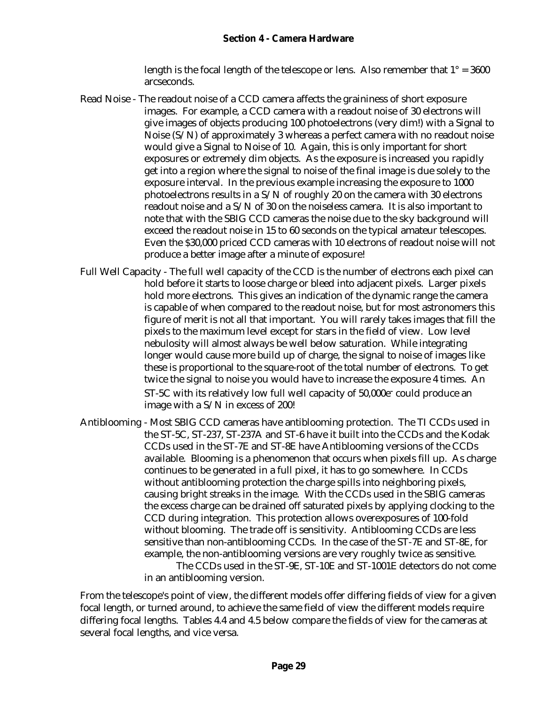length is the focal length of the telescope or lens. Also remember that  $1^\circ = 3600$ arcseconds.

- Read Noise The readout noise of a CCD camera affects the graininess of short exposure images. For example, a CCD camera with a readout noise of 30 electrons will give images of objects producing 100 photoelectrons (very dim!) with a Signal to Noise (S/N) of approximately 3 whereas a perfect camera with no readout noise would give a Signal to Noise of 10. Again, this is only important for short exposures or extremely dim objects. As the exposure is increased you rapidly get into a region where the signal to noise of the final image is due solely to the exposure interval. In the previous example increasing the exposure to 1000 photoelectrons results in a S/N of roughly 20 on the camera with 30 electrons readout noise and a S/N of 30 on the noiseless camera. It is also important to note that with the SBIG CCD cameras the noise due to the sky background will exceed the readout noise in 15 to 60 seconds on the typical amateur telescopes. Even the \$30,000 priced CCD cameras with 10 electrons of readout noise will not produce a better image after a minute of exposure!
- Full Well Capacity The full well capacity of the CCD is the number of electrons each pixel can hold before it starts to loose charge or bleed into adjacent pixels. Larger pixels hold more electrons. This gives an indication of the dynamic range the camera is capable of when compared to the readout noise, but for most astronomers this figure of merit is not all that important. You will rarely takes images that fill the pixels to the maximum level except for stars in the field of view. Low level nebulosity will almost always be well below saturation. While integrating longer would cause more build up of charge, the signal to noise of images like these is proportional to the square-root of the total number of electrons. To get twice the signal to noise you would have to increase the exposure 4 times. An ST-5C with its relatively low full well capacity of 50,000e<sup>-</sup> could produce an image with a S/N in excess of 200!
- Antiblooming Most SBIG CCD cameras have antiblooming protection. The TI CCDs used in the ST-5C, ST-237, ST-237A and ST-6 have it built into the CCDs and the Kodak CCDs used in the ST-7E and ST-8E have Antiblooming versions of the CCDs available. Blooming is a phenomenon that occurs when pixels fill up. As charge continues to be generated in a full pixel, it has to go somewhere. In CCDs without antiblooming protection the charge spills into neighboring pixels, causing bright streaks in the image. With the CCDs used in the SBIG cameras the excess charge can be drained off saturated pixels by applying clocking to the CCD during integration. This protection allows overexposures of 100-fold without blooming. The trade off is sensitivity. Antiblooming CCDs are less sensitive than non-antiblooming CCDs. In the case of the ST-7E and ST-8E, for example, the non-antiblooming versions are very roughly twice as sensitive. The CCDs used in the ST-9E, ST-10E and ST-1001E detectors do not come

in an antiblooming version.

From the telescope's point of view, the different models offer differing fields of view for a given focal length, or turned around, to achieve the same field of view the different models require differing focal lengths. Tables 4.4 and 4.5 below compare the fields of view for the cameras at several focal lengths, and vice versa.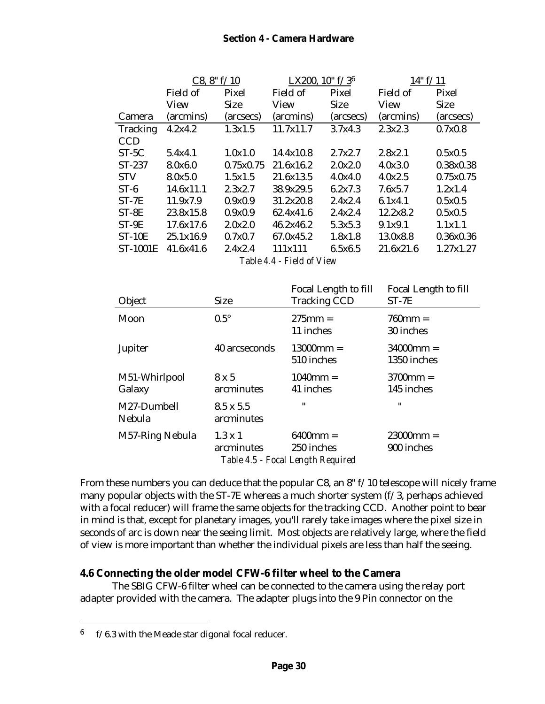### **Section 4 - Camera Hardware**

|                 | C8, 8" f/10 |             | LX200, $10" f/3^6$ |             | 14" f/11  |             |
|-----------------|-------------|-------------|--------------------|-------------|-----------|-------------|
|                 | Field of    | Pixel       | Field of           | Pixel       | Field of  | Pixel       |
|                 | View        | <b>Size</b> | View               | <b>Size</b> | View      | <b>Size</b> |
| Camera          | (arcmins)   | (arcsecs)   | (arcmins)          | (arcsecs)   | (arcmins) | (arcsecs)   |
| <b>Tracking</b> | 4.2x4.2     | 1.3x1.5     | 11.7x11.7          | 3.7x4.3     | 2.3x2.3   | 0.7x0.8     |
| <b>CCD</b>      |             |             |                    |             |           |             |
| $ST-5C$         | 5.4x4.1     | 1.0x1.0     | 14.4x10.8          | 2.7x2.7     | 2.8x2.1   | 0.5x0.5     |
| $ST-237$        | 8.0x6.0     | 0.75x0.75   | 21.6x16.2          | 2.0x2.0     | 4.0x3.0   | 0.38x0.38   |
| <b>STV</b>      | 8.0x5.0     | 1.5x1.5     | 21.6x13.5          | 4.0x4.0     | 4.0x2.5   | 0.75x0.75   |
| $ST-6$          | 14.6x11.1   | 2.3x2.7     | 38.9x29.5          | 6.2x7.3     | 7.6x5.7   | 1.2x1.4     |
| $ST-7E$         | 11.9x7.9    | 0.9x0.9     | 31.2x20.8          | 2.4x2.4     | 6.1x4.1   | 0.5x0.5     |
| $ST-8E$         | 23.8x15.8   | 0.9x0.9     | 62.4x41.6          | 2.4x2.4     | 12.2x8.2  | 0.5x0.5     |
| $ST-9E$         | 17.6x17.6   | 2.0x2.0     | 46.2x46.2          | 5.3x5.3     | 9.1x9.1   | 1.1x1.1     |
| $ST-10E$        | 25.1x16.9   | 0.7x0.7     | 67.0x45.2          | 1.8x1.8     | 13.0x8.8  | 0.36x0.36   |
| <b>ST-1001E</b> | 41.6x41.6   | 2.4x2.4     | 111x111            | 6.5x6.5     | 21.6x21.6 | 1.27x1.27   |
|                 |             |             |                    |             |           |             |

*Table 4.4 - Field of View*

| Object                  | <b>Size</b>                    | Focal Length to fill<br><b>Tracking CCD</b>                    | Focal Length to fill<br>$ST-7E$ |
|-------------------------|--------------------------------|----------------------------------------------------------------|---------------------------------|
| Moon                    | $0.5^{\circ}$                  | $275$ mm =<br>11 inches                                        | $760 \text{mm} =$<br>30 inches  |
| Jupiter                 | 40 arcseconds                  | $13000$ mm =<br>510 inches                                     | $34000$ mm =<br>1350 inches     |
| M51-Whirlpool<br>Galaxy | $8 \times 5$<br>arcminutes     | $1040$ mm =<br>41 inches                                       | $3700$ mm =<br>145 inches       |
| M27-Dumbell<br>Nebula   | $8.5 \times 5.5$<br>arcminutes | $\blacksquare$                                                 | $^{\prime\prime}$               |
| M57-Ring Nebula         | $1.3 \times 1$<br>arcminutes   | $6400$ mm =<br>250 inches<br>Table 4.5 - Focal Length Required | $23000$ mm =<br>900 inches      |

From these numbers you can deduce that the popular C8, an 8" f/10 telescope will nicely frame many popular objects with the ST-7E whereas a much shorter system  $(f/3)$ , perhaps achieved with a focal reducer) will frame the same objects for the tracking CCD. Another point to bear in mind is that, except for planetary images, you'll rarely take images where the pixel size in seconds of arc is down near the seeing limit. Most objects are relatively large, where the field of view is more important than whether the individual pixels are less than half the seeing.

### **4.6 Connecting the older model CFW-6 filter wheel to the Camera**

The SBIG CFW-6 filter wheel can be connected to the camera using the relay port adapter provided with the camera. The adapter plugs into the 9 Pin connector on the

-

<sup>6</sup> f/6.3 with the Meade star digonal focal reducer.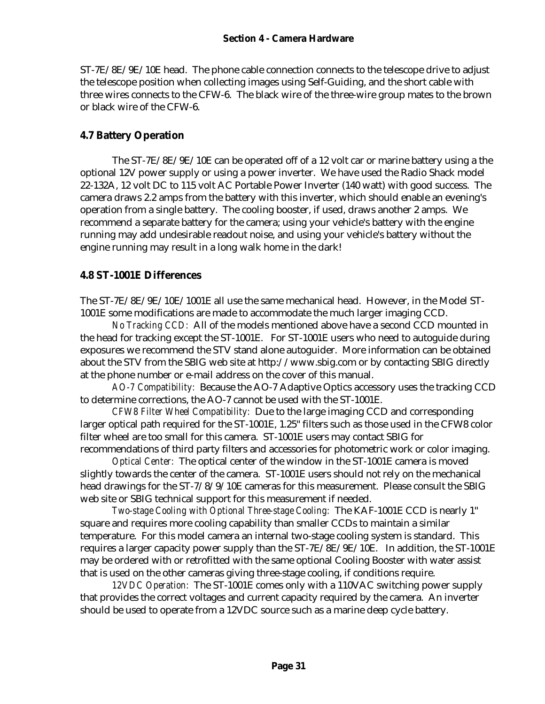ST-7E/8E/9E/10E head. The phone cable connection connects to the telescope drive to adjust the telescope position when collecting images using Self-Guiding, and the short cable with three wires connects to the CFW-6. The black wire of the three-wire group mates to the brown or black wire of the CFW-6.

### **4.7 Battery Operation**

The ST-7E/8E/9E/10E can be operated off of a 12 volt car or marine battery using a the optional 12V power supply or using a power inverter. We have used the Radio Shack model 22-132A, 12 volt DC to 115 volt AC Portable Power Inverter (140 watt) with good success. The camera draws 2.2 amps from the battery with this inverter, which should enable an evening's operation from a single battery. The cooling booster, if used, draws another 2 amps. We recommend a separate battery for the camera; using your vehicle's battery with the engine running may add undesirable readout noise, and using your vehicle's battery without the engine running may result in a long walk home in the dark!

### **4.8 ST-1001E Differences**

The ST-7E/8E/9E/10E/1001E all use the same mechanical head. However, in the Model ST-1001E some modifications are made to accommodate the much larger imaging CCD.

*No Tracking CCD:* All of the models mentioned above have a second CCD mounted in the head for tracking except the ST-1001E. For ST-1001E users who need to autoguide during exposures we recommend the STV stand alone autoguider. More information can be obtained about the STV from the SBIG web site at http://www.sbig.com or by contacting SBIG directly at the phone number or e-mail address on the cover of this manual.

*AO-7 Compatibility:* Because the AO-7 Adaptive Optics accessory uses the tracking CCD to determine corrections, the AO-7 cannot be used with the ST-1001E.

*CFW8 Filter Wheel Compatibility:* Due to the large imaging CCD and corresponding larger optical path required for the ST-1001E, 1.25" filters such as those used in the CFW8 color filter wheel are too small for this camera. ST-1001E users may contact SBIG for recommendations of third party filters and accessories for photometric work or color imaging.

*Optical Center:* The optical center of the window in the ST-1001E camera is moved slightly towards the center of the camera. ST-1001E users should not rely on the mechanical head drawings for the ST-7/8/9/10E cameras for this measurement. Please consult the SBIG web site or SBIG technical support for this measurement if needed.

*Two-stage Cooling with Optional Three-stage Cooling:* The KAF-1001E CCD is nearly 1" square and requires more cooling capability than smaller CCDs to maintain a similar temperature. For this model camera an internal two-stage cooling system is standard. This requires a larger capacity power supply than the ST-7E/8E/9E/10E. In addition, the ST-1001E may be ordered with or retrofitted with the same optional Cooling Booster with water assist that is used on the other cameras giving three-stage cooling, if conditions require.

*12VDC Operation:* The ST-1001E comes only with a 110VAC switching power supply that provides the correct voltages and current capacity required by the camera. An inverter should be used to operate from a 12VDC source such as a marine deep cycle battery.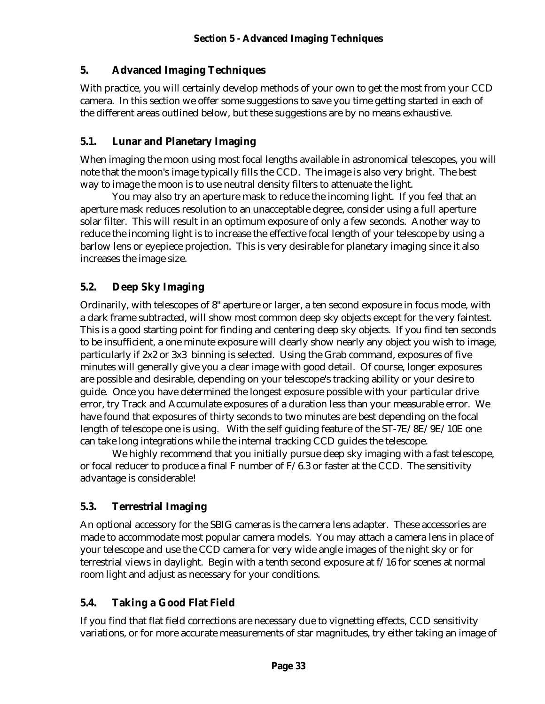### **5. Advanced Imaging Techniques**

With practice, you will certainly develop methods of your own to get the most from your CCD camera. In this section we offer some suggestions to save you time getting started in each of the different areas outlined below, but these suggestions are by no means exhaustive.

### **5.1. Lunar and Planetary Imaging**

When imaging the moon using most focal lengths available in astronomical telescopes, you will note that the moon's image typically fills the CCD. The image is also very bright. The best way to image the moon is to use neutral density filters to attenuate the light.

You may also try an aperture mask to reduce the incoming light. If you feel that an aperture mask reduces resolution to an unacceptable degree, consider using a full aperture solar filter. This will result in an optimum exposure of only a few seconds. Another way to reduce the incoming light is to increase the effective focal length of your telescope by using a barlow lens or eyepiece projection. This is very desirable for planetary imaging since it also increases the image size.

# **5.2. Deep Sky Imaging**

Ordinarily, with telescopes of 8" aperture or larger, a ten second exposure in focus mode, with a dark frame subtracted, will show most common deep sky objects except for the very faintest. This is a good starting point for finding and centering deep sky objects. If you find ten seconds to be insufficient, a one minute exposure will clearly show nearly any object you wish to image, particularly if 2x2 or 3x3 binning is selected. Using the Grab command, exposures of five minutes will generally give you a clear image with good detail. Of course, longer exposures are possible and desirable, depending on your telescope's tracking ability or your desire to guide. Once you have determined the longest exposure possible with your particular drive error, try Track and Accumulate exposures of a duration less than your measurable error. We have found that exposures of thirty seconds to two minutes are best depending on the focal length of telescope one is using. With the self guiding feature of the ST-7E/8E/9E/10E one can take long integrations while the internal tracking CCD guides the telescope.

We highly recommend that you initially pursue deep sky imaging with a fast telescope, or focal reducer to produce a final F number of  $F/6.3$  or faster at the CCD. The sensitivity advantage is considerable!

### **5.3. Terrestrial Imaging**

An optional accessory for the SBIG cameras is the camera lens adapter. These accessories are made to accommodate most popular camera models. You may attach a camera lens in place of your telescope and use the CCD camera for very wide angle images of the night sky or for terrestrial views in daylight. Begin with a tenth second exposure at f/16 for scenes at normal room light and adjust as necessary for your conditions.

# **5.4. Taking a Good Flat Field**

If you find that flat field corrections are necessary due to vignetting effects, CCD sensitivity variations, or for more accurate measurements of star magnitudes, try either taking an image of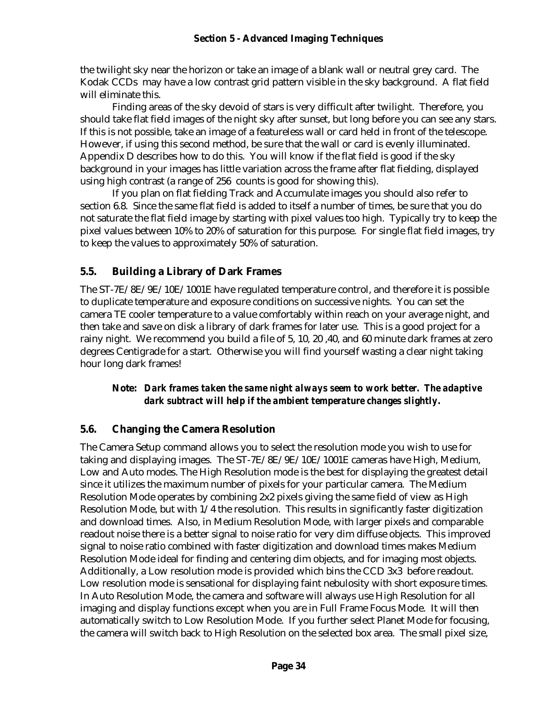#### **Section 5 - Advanced Imaging Techniques**

the twilight sky near the horizon or take an image of a blank wall or neutral grey card. The Kodak CCDs may have a low contrast grid pattern visible in the sky background. A flat field will eliminate this.

Finding areas of the sky devoid of stars is very difficult after twilight. Therefore, you should take flat field images of the night sky after sunset, but long before you can see any stars. If this is not possible, take an image of a featureless wall or card held in front of the telescope. However, if using this second method, be sure that the wall or card is evenly illuminated. Appendix D describes how to do this. You will know if the flat field is good if the sky background in your images has little variation across the frame after flat fielding, displayed using high contrast (a range of 256 counts is good for showing this).

If you plan on flat fielding Track and Accumulate images you should also refer to section 6.8. Since the same flat field is added to itself a number of times, be sure that you do not saturate the flat field image by starting with pixel values too high. Typically try to keep the pixel values between 10% to 20% of saturation for this purpose. For single flat field images, try to keep the values to approximately 50% of saturation.

### **5.5. Building a Library of Dark Frames**

The ST-7E/8E/9E/10E/1001E have regulated temperature control, and therefore it is possible to duplicate temperature and exposure conditions on successive nights. You can set the camera TE cooler temperature to a value comfortably within reach on your average night, and then take and save on disk a library of dark frames for later use. This is a good project for a rainy night. We recommend you build a file of 5, 10, 20 ,40, and 60 minute dark frames at zero degrees Centigrade for a start. Otherwise you will find yourself wasting a clear night taking hour long dark frames!

#### **Note:** *Dark frames taken the same night always seem to work better. The adaptive dark subtract will help if the ambient temperature changes slightly.*

### **5.6. Changing the Camera Resolution**

The Camera Setup command allows you to select the resolution mode you wish to use for taking and displaying images. The ST-7E/8E/9E/10E/1001E cameras have High, Medium, Low and Auto modes. The High Resolution mode is the best for displaying the greatest detail since it utilizes the maximum number of pixels for your particular camera. The Medium Resolution Mode operates by combining 2x2 pixels giving the same field of view as High Resolution Mode, but with  $1/4$  the resolution. This results in significantly faster digitization and download times. Also, in Medium Resolution Mode, with larger pixels and comparable readout noise there is a better signal to noise ratio for very dim diffuse objects. This improved signal to noise ratio combined with faster digitization and download times makes Medium Resolution Mode ideal for finding and centering dim objects, and for imaging most objects. Additionally, a Low resolution mode is provided which bins the CCD 3x3 before readout. Low resolution mode is sensational for displaying faint nebulosity with short exposure times. In Auto Resolution Mode, the camera and software will always use High Resolution for all imaging and display functions except when you are in Full Frame Focus Mode. It will then automatically switch to Low Resolution Mode. If you further select Planet Mode for focusing, the camera will switch back to High Resolution on the selected box area. The small pixel size,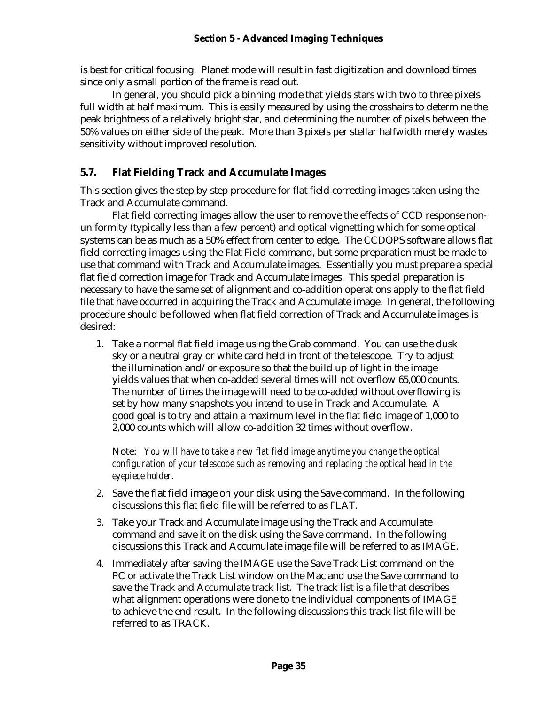is best for critical focusing. Planet mode will result in fast digitization and download times since only a small portion of the frame is read out.

In general, you should pick a binning mode that yields stars with two to three pixels full width at half maximum. This is easily measured by using the crosshairs to determine the peak brightness of a relatively bright star, and determining the number of pixels between the 50% values on either side of the peak. More than 3 pixels per stellar halfwidth merely wastes sensitivity without improved resolution.

### **5.7. Flat Fielding Track and Accumulate Images**

This section gives the step by step procedure for flat field correcting images taken using the Track and Accumulate command.

Flat field correcting images allow the user to remove the effects of CCD response nonuniformity (typically less than a few percent) and optical vignetting which for some optical systems can be as much as a 50% effect from center to edge. The CCDOPS software allows flat field correcting images using the Flat Field command, but some preparation must be made to use that command with Track and Accumulate images. Essentially you must prepare a special flat field correction image for Track and Accumulate images. This special preparation is necessary to have the same set of alignment and co-addition operations apply to the flat field file that have occurred in acquiring the Track and Accumulate image. In general, the following procedure should be followed when flat field correction of Track and Accumulate images is desired:

1. Take a normal flat field image using the Grab command. You can use the dusk sky or a neutral gray or white card held in front of the telescope. Try to adjust the illumination and/or exposure so that the build up of light in the image yields values that when co-added several times will not overflow 65,000 counts. The number of times the image will need to be co-added without overflowing is set by how many snapshots you intend to use in Track and Accumulate. A good goal is to try and attain a maximum level in the flat field image of 1,000 to 2,000 counts which will allow co-addition 32 times without overflow.

Note: *You will have to take a new flat field image anytime you change the optical configuration of your telescope such as removing and replacing the optical head in the eyepiece holder.*

- 2. Save the flat field image on your disk using the Save command. In the following discussions this flat field file will be referred to as FLAT.
- 3. Take your Track and Accumulate image using the Track and Accumulate command and save it on the disk using the Save command. In the following discussions this Track and Accumulate image file will be referred to as IMAGE.
- 4. Immediately after saving the IMAGE use the Save Track List command on the PC or activate the Track List window on the Mac and use the Save command to save the Track and Accumulate track list. The track list is a file that describes what alignment operations were done to the individual components of IMAGE to achieve the end result. In the following discussions this track list file will be referred to as TRACK.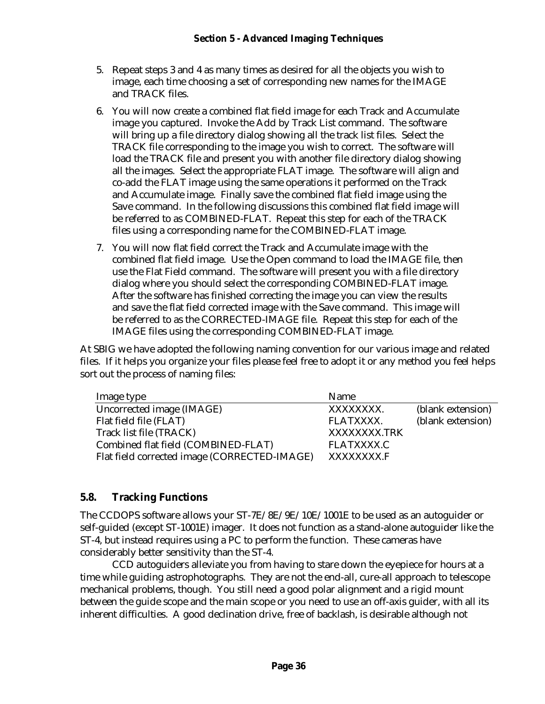- 5. Repeat steps 3 and 4 as many times as desired for all the objects you wish to image, each time choosing a set of corresponding new names for the IMAGE and TRACK files.
- 6. You will now create a combined flat field image for each Track and Accumulate image you captured. Invoke the Add by Track List command. The software will bring up a file directory dialog showing all the track list files. Select the TRACK file corresponding to the image you wish to correct. The software will load the TRACK file and present you with another file directory dialog showing all the images. Select the appropriate FLAT image. The software will align and co-add the FLAT image using the same operations it performed on the Track and Accumulate image. Finally save the combined flat field image using the Save command. In the following discussions this combined flat field image will be referred to as COMBINED-FLAT. Repeat this step for each of the TRACK files using a corresponding name for the COMBINED-FLAT image.
- 7. You will now flat field correct the Track and Accumulate image with the combined flat field image. Use the Open command to load the IMAGE file, then use the Flat Field command. The software will present you with a file directory dialog where you should select the corresponding COMBINED-FLAT image. After the software has finished correcting the image you can view the results and save the flat field corrected image with the Save command. This image will be referred to as the CORRECTED-IMAGE file. Repeat this step for each of the IMAGE files using the corresponding COMBINED-FLAT image.

At SBIG we have adopted the following naming convention for our various image and related files. If it helps you organize your files please feel free to adopt it or any method you feel helps sort out the process of naming files:

| Image type                                   | Name              |                   |
|----------------------------------------------|-------------------|-------------------|
| Uncorrected image (IMAGE)                    | XXXXXXXX.         | (blank extension) |
| Flat field file (FLAT)                       | FLATXXXX.         | (blank extension) |
| Track list file (TRACK)                      | XXXXXXXX.TRK      |                   |
| Combined flat field (COMBINED-FLAT)          | <b>FLATXXXX.C</b> |                   |
| Flat field corrected image (CORRECTED-IMAGE) | XXXXXXXX.F        |                   |

### **5.8. Tracking Functions**

The CCDOPS software allows your ST-7E/8E/9E/10E/1001E to be used as an autoguider or self-guided (except ST-1001E) imager. It does not function as a stand-alone autoguider like the ST-4, but instead requires using a PC to perform the function. These cameras have considerably better sensitivity than the ST-4.

CCD autoguiders alleviate you from having to stare down the eyepiece for hours at a time while guiding astrophotographs. They are not the end-all, cure-all approach to telescope mechanical problems, though. You still need a good polar alignment and a rigid mount between the guide scope and the main scope or you need to use an off-axis guider, with all its inherent difficulties. A good declination drive, free of backlash, is desirable although not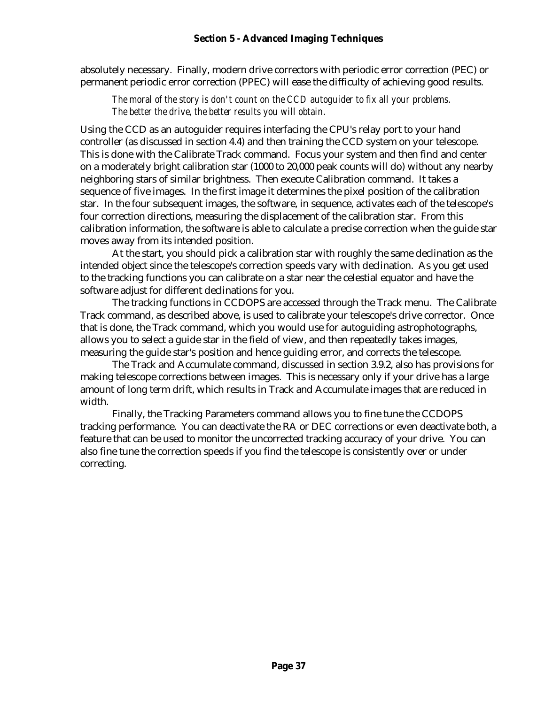absolutely necessary. Finally, modern drive correctors with periodic error correction (PEC) or permanent periodic error correction (PPEC) will ease the difficulty of achieving good results.

*The moral of the story is don't count on the CCD autoguider to fix all your problems. The better the drive, the better results you will obtain.*

Using the CCD as an autoguider requires interfacing the CPU's relay port to your hand controller (as discussed in section 4.4) and then training the CCD system on your telescope. This is done with the Calibrate Track command. Focus your system and then find and center on a moderately bright calibration star (1000 to 20,000 peak counts will do) without any nearby neighboring stars of similar brightness. Then execute Calibration command. It takes a sequence of five images. In the first image it determines the pixel position of the calibration star. In the four subsequent images, the software, in sequence, activates each of the telescope's four correction directions, measuring the displacement of the calibration star. From this calibration information, the software is able to calculate a precise correction when the guide star moves away from its intended position.

At the start, you should pick a calibration star with roughly the same declination as the intended object since the telescope's correction speeds vary with declination. As you get used to the tracking functions you can calibrate on a star near the celestial equator and have the software adjust for different declinations for you.

The tracking functions in CCDOPS are accessed through the Track menu. The Calibrate Track command, as described above, is used to calibrate your telescope's drive corrector. Once that is done, the Track command, which you would use for autoguiding astrophotographs, allows you to select a guide star in the field of view, and then repeatedly takes images, measuring the guide star's position and hence guiding error, and corrects the telescope.

The Track and Accumulate command, discussed in section 3.9.2, also has provisions for making telescope corrections between images. This is necessary only if your drive has a large amount of long term drift, which results in Track and Accumulate images that are reduced in width.

Finally, the Tracking Parameters command allows you to fine tune the CCDOPS tracking performance. You can deactivate the RA or DEC corrections or even deactivate both, a feature that can be used to monitor the uncorrected tracking accuracy of your drive. You can also fine tune the correction speeds if you find the telescope is consistently over or under correcting.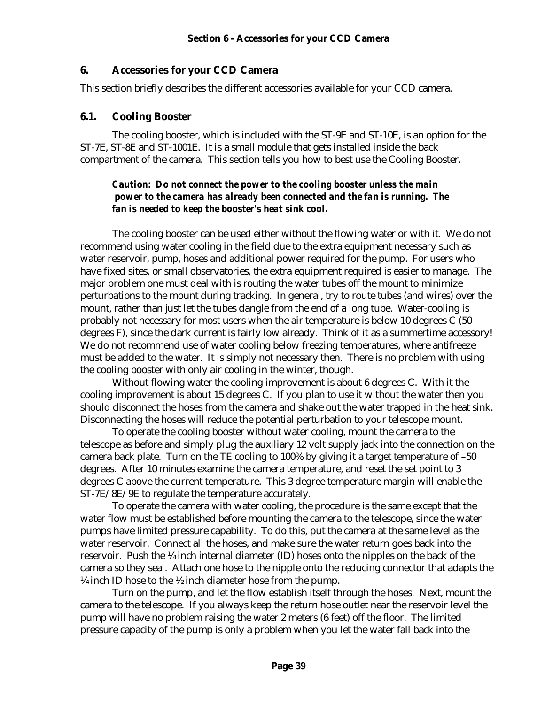#### **6. Accessories for your CCD Camera**

This section briefly describes the different accessories available for your CCD camera.

#### **6.1. Cooling Booster**

The cooling booster, which is included with the ST-9E and ST-10E, is an option for the ST-7E, ST-8E and ST-1001E. It is a small module that gets installed inside the back compartment of the camera. This section tells you how to best use the Cooling Booster.

#### *Caution: Do not connect the power to the cooling booster unless the main power to the camera has already been connected and the fan is running. The fan is needed to keep the booster's heat sink cool.*

The cooling booster can be used either without the flowing water or with it. We do not recommend using water cooling in the field due to the extra equipment necessary such as water reservoir, pump, hoses and additional power required for the pump. For users who have fixed sites, or small observatories, the extra equipment required is easier to manage. The major problem one must deal with is routing the water tubes off the mount to minimize perturbations to the mount during tracking. In general, try to route tubes (and wires) over the mount, rather than just let the tubes dangle from the end of a long tube. Water-cooling is probably not necessary for most users when the air temperature is below 10 degrees C (50 degrees F), since the dark current is fairly low already. Think of it as a summertime accessory! We do not recommend use of water cooling below freezing temperatures, where antifreeze must be added to the water. It is simply not necessary then. There is no problem with using the cooling booster with only air cooling in the winter, though.

Without flowing water the cooling improvement is about 6 degrees C. With it the cooling improvement is about 15 degrees C. If you plan to use it without the water then you should disconnect the hoses from the camera and shake out the water trapped in the heat sink. Disconnecting the hoses will reduce the potential perturbation to your telescope mount.

To operate the cooling booster without water cooling, mount the camera to the telescope as before and simply plug the auxiliary 12 volt supply jack into the connection on the camera back plate. Turn on the TE cooling to 100% by giving it a target temperature of –50 degrees. After 10 minutes examine the camera temperature, and reset the set point to 3 degrees C above the current temperature. This 3 degree temperature margin will enable the ST-7E/8E/9E to regulate the temperature accurately.

To operate the camera with water cooling, the procedure is the same except that the water flow must be established before mounting the camera to the telescope, since the water pumps have limited pressure capability. To do this, put the camera at the same level as the water reservoir. Connect all the hoses, and make sure the water return goes back into the reservoir. Push the ¼ inch internal diameter (ID) hoses onto the nipples on the back of the camera so they seal. Attach one hose to the nipple onto the reducing connector that adapts the  $\frac{1}{4}$  inch ID hose to the  $\frac{1}{2}$  inch diameter hose from the pump.

Turn on the pump, and let the flow establish itself through the hoses. Next, mount the camera to the telescope. If you always keep the return hose outlet near the reservoir level the pump will have no problem raising the water 2 meters (6 feet) off the floor. The limited pressure capacity of the pump is only a problem when you let the water fall back into the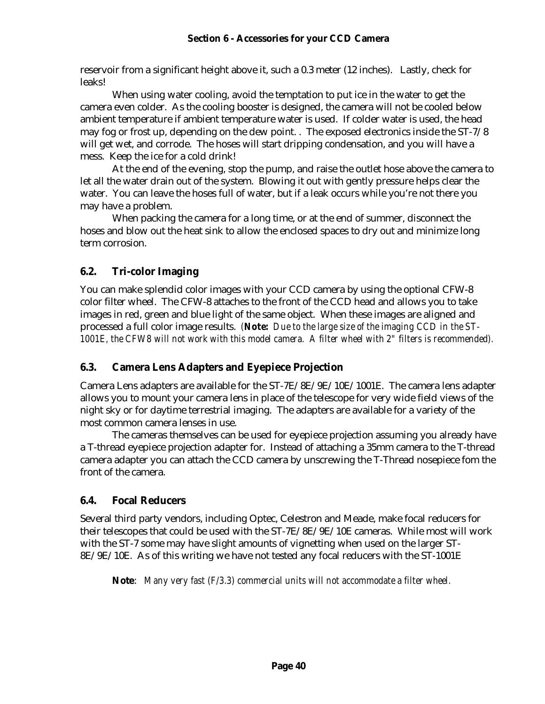#### **Section 6 - Accessories for your CCD Camera**

reservoir from a significant height above it, such a 0.3 meter (12 inches). Lastly, check for leaks!

When using water cooling, avoid the temptation to put ice in the water to get the camera even colder. As the cooling booster is designed, the camera will not be cooled below ambient temperature if ambient temperature water is used. If colder water is used, the head may fog or frost up, depending on the dew point. . The exposed electronics inside the ST-7/8 will get wet, and corrode. The hoses will start dripping condensation, and you will have a mess. Keep the ice for a cold drink!

At the end of the evening, stop the pump, and raise the outlet hose above the camera to let all the water drain out of the system. Blowing it out with gently pressure helps clear the water. You can leave the hoses full of water, but if a leak occurs while you're not there you may have a problem.

When packing the camera for a long time, or at the end of summer, disconnect the hoses and blow out the heat sink to allow the enclosed spaces to dry out and minimize long term corrosion.

### **6.2. Tri-color Imaging**

You can make splendid color images with your CCD camera by using the optional CFW-8 color filter wheel. The CFW-8 attaches to the front of the CCD head and allows you to take images in red, green and blue light of the same object. When these images are aligned and processed a full color image results. *(Note: Due to the large size of the imaging CCD in the ST-1001E, the CFW8 will not work with this model camera. A filter wheel with 2" filters is recommended).*

### **6.3. Camera Lens Adapters and Eyepiece Projection**

Camera Lens adapters are available for the ST-7E/8E/9E/10E/1001E. The camera lens adapter allows you to mount your camera lens in place of the telescope for very wide field views of the night sky or for daytime terrestrial imaging. The adapters are available for a variety of the most common camera lenses in use.

The cameras themselves can be used for eyepiece projection assuming you already have a T-thread eyepiece projection adapter for. Instead of attaching a 35mm camera to the T-thread camera adapter you can attach the CCD camera by unscrewing the T-Thread nosepiece fom the front of the camera.

### **6.4. Focal Reducers**

Several third party vendors, including Optec, Celestron and Meade, make focal reducers for their telescopes that could be used with the ST-7E/8E/9E/10E cameras. While most will work with the ST-7 some may have slight amounts of vignetting when used on the larger ST-8E/9E/10E. As of this writing we have not tested any focal reducers with the ST-1001E

**Note**: *Many very fast (F/3.3) commercial units will not accommodate a filter wheel.*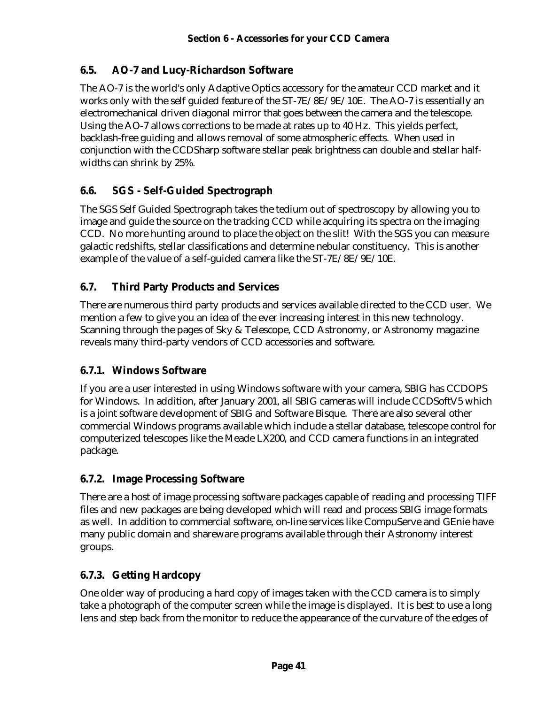### **6.5. AO-7 and Lucy-Richardson Software**

The AO-7 is the world's only Adaptive Optics accessory for the amateur CCD market and it works only with the self guided feature of the ST-7E/8E/9E/10E. The AO-7 is essentially an electromechanical driven diagonal mirror that goes between the camera and the telescope. Using the AO-7 allows corrections to be made at rates up to 40 Hz. This yields perfect, backlash-free guiding and allows removal of some atmospheric effects. When used in conjunction with the CCDSharp software stellar peak brightness can double and stellar halfwidths can shrink by 25%.

# **6.6. SGS - Self-Guided Spectrograph**

The SGS Self Guided Spectrograph takes the tedium out of spectroscopy by allowing you to image and guide the source on the tracking CCD while acquiring its spectra on the imaging CCD. No more hunting around to place the object on the slit! With the SGS you can measure galactic redshifts, stellar classifications and determine nebular constituency. This is another example of the value of a self-guided camera like the ST-7E/8E/9E/10E.

# **6.7. Third Party Products and Services**

There are numerous third party products and services available directed to the CCD user. We mention a few to give you an idea of the ever increasing interest in this new technology. Scanning through the pages of Sky & Telescope, CCD Astronomy, or Astronomy magazine reveals many third-party vendors of CCD accessories and software.

### **6.7.1. Windows Software**

If you are a user interested in using Windows software with your camera, SBIG has CCDOPS for Windows. In addition, after January 2001, all SBIG cameras will include CCDSoftV5 which is a joint software development of SBIG and Software Bisque. There are also several other commercial Windows programs available which include a stellar database, telescope control for computerized telescopes like the Meade LX200, and CCD camera functions in an integrated package.

# **6.7.2. Image Processing Software**

There are a host of image processing software packages capable of reading and processing TIFF files and new packages are being developed which will read and process SBIG image formats as well. In addition to commercial software, on-line services like CompuServe and GEnie have many public domain and shareware programs available through their Astronomy interest groups.

# **6.7.3. Getting Hardcopy**

One older way of producing a hard copy of images taken with the CCD camera is to simply take a photograph of the computer screen while the image is displayed. It is best to use a long lens and step back from the monitor to reduce the appearance of the curvature of the edges of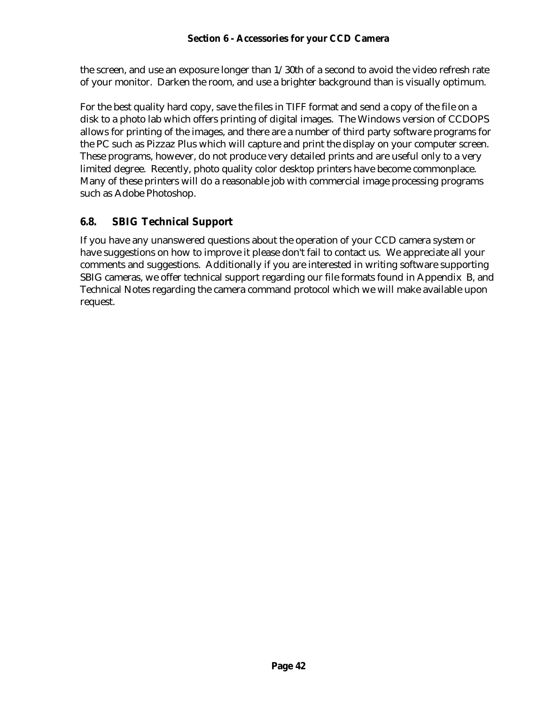the screen, and use an exposure longer than 1/30th of a second to avoid the video refresh rate of your monitor. Darken the room, and use a brighter background than is visually optimum.

For the best quality hard copy, save the files in TIFF format and send a copy of the file on a disk to a photo lab which offers printing of digital images. The Windows version of CCDOPS allows for printing of the images, and there are a number of third party software programs for the PC such as Pizzaz Plus which will capture and print the display on your computer screen. These programs, however, do not produce very detailed prints and are useful only to a very limited degree. Recently, photo quality color desktop printers have become commonplace. Many of these printers will do a reasonable job with commercial image processing programs such as Adobe Photoshop.

# **6.8. SBIG Technical Support**

If you have any unanswered questions about the operation of your CCD camera system or have suggestions on how to improve it please don't fail to contact us. We appreciate all your comments and suggestions. Additionally if you are interested in writing software supporting SBIG cameras, we offer technical support regarding our file formats found in Appendix B, and Technical Notes regarding the camera command protocol which we will make available upon request.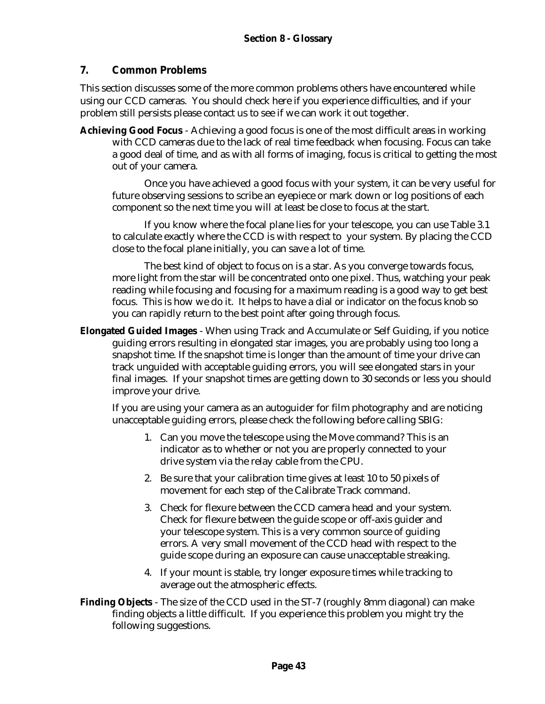### **7. Common Problems**

This section discusses some of the more common problems others have encountered while using our CCD cameras. You should check here if you experience difficulties, and if your problem still persists please contact us to see if we can work it out together.

**Achieving Good Focus** - Achieving a good focus is one of the most difficult areas in working with CCD cameras due to the lack of real time feedback when focusing. Focus can take a good deal of time, and as with all forms of imaging, focus is critical to getting the most out of your camera.

Once you have achieved a good focus with your system, it can be very useful for future observing sessions to scribe an eyepiece or mark down or log positions of each component so the next time you will at least be close to focus at the start.

If you know where the focal plane lies for your telescope, you can use Table 3.1 to calculate exactly where the CCD is with respect to your system. By placing the CCD close to the focal plane initially, you can save a lot of time.

The best kind of object to focus on is a star. As you converge towards focus, more light from the star will be concentrated onto one pixel. Thus, watching your peak reading while focusing and focusing for a maximum reading is a good way to get best focus. This is how we do it. It helps to have a dial or indicator on the focus knob so you can rapidly return to the best point after going through focus.

**Elongated Guided Images** - When using Track and Accumulate or Self Guiding, if you notice guiding errors resulting in elongated star images, you are probably using too long a snapshot time. If the snapshot time is longer than the amount of time your drive can track unguided with acceptable guiding errors, you will see elongated stars in your final images. If your snapshot times are getting down to 30 seconds or less you should improve your drive.

If you are using your camera as an autoguider for film photography and are noticing unacceptable guiding errors, please check the following before calling SBIG:

- 1. Can you move the telescope using the Move command? This is an indicator as to whether or not you are properly connected to your drive system via the relay cable from the CPU.
- 2. Be sure that your calibration time gives at least 10 to 50 pixels of movement for each step of the Calibrate Track command.
- 3. Check for flexure between the CCD camera head and your system. Check for flexure between the guide scope or off-axis guider and your telescope system. This is a very common source of guiding errors. A very small movement of the CCD head with respect to the guide scope during an exposure can cause unacceptable streaking.
- 4. If your mount is stable, try longer exposure times while tracking to average out the atmospheric effects.
- **Finding Objects** The size of the CCD used in the ST-7 (roughly 8mm diagonal) can make finding objects a little difficult. If you experience this problem you might try the following suggestions.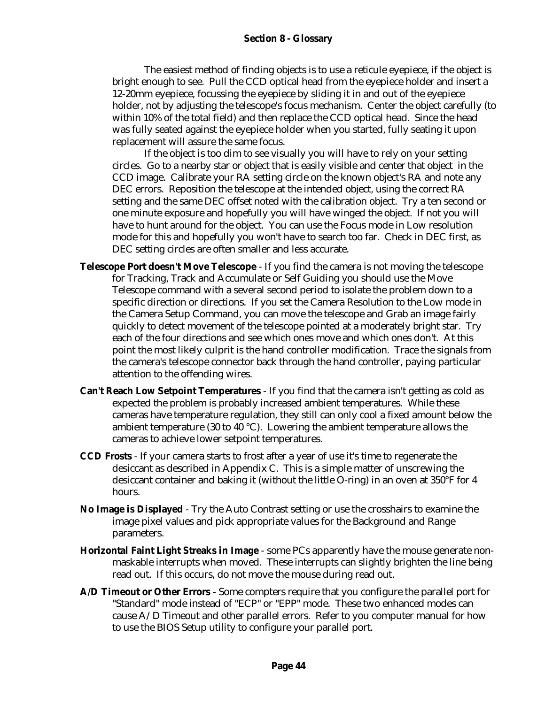#### **Section 8 - Glossary**

The easiest method of finding objects is to use a reticule eyepiece, if the object is bright enough to see. Pull the CCD optical head from the eyepiece holder and insert a 12-20mm eyepiece, focussing the eyepiece by sliding it in and out of the eyepiece holder, not by adjusting the telescope's focus mechanism. Center the object carefully (to within 10% of the total field) and then replace the CCD optical head. Since the head was fully seated against the eyepiece holder when you started, fully seating it upon replacement will assure the same focus.

If the object is too dim to see visually you will have to rely on your setting circles. Go to a nearby star or object that is easily visible and center that object in the CCD image. Calibrate your RA setting circle on the known object's RA and note any DEC errors. Reposition the telescope at the intended object, using the correct RA setting and the same DEC offset noted with the calibration object. Try a ten second or one minute exposure and hopefully you will have winged the object. If not you will have to hunt around for the object. You can use the Focus mode in Low resolution mode for this and hopefully you won't have to search too far. Check in DEC first, as DEC setting circles are often smaller and less accurate.

- **Telescope Port doesn't Move Telescope** If you find the camera is not moving the telescope for Tracking, Track and Accumulate or Self Guiding you should use the Move Telescope command with a several second period to isolate the problem down to a specific direction or directions. If you set the Camera Resolution to the Low mode in the Camera Setup Command, you can move the telescope and Grab an image fairly quickly to detect movement of the telescope pointed at a moderately bright star. Try each of the four directions and see which ones move and which ones don't. At this point the most likely culprit is the hand controller modification. Trace the signals from the camera's telescope connector back through the hand controller, paying particular attention to the offending wires.
- **Can't Reach Low Setpoint Temperatures** If you find that the camera isn't getting as cold as expected the problem is probably increased ambient temperatures. While these cameras have temperature regulation, they still can only cool a fixed amount below the ambient temperature (30 to 40 °C). Lowering the ambient temperature allows the cameras to achieve lower setpoint temperatures.
- **CCD Frosts** If your camera starts to frost after a year of use it's time to regenerate the desiccant as described in Appendix C. This is a simple matter of unscrewing the desiccant container and baking it (without the little O-ring) in an oven at 350°F for 4 hours.
- **No Image is Displayed** Try the Auto Contrast setting or use the crosshairs to examine the image pixel values and pick appropriate values for the Background and Range parameters.
- **Horizontal Faint Light Streaks in Image** some PCs apparently have the mouse generate nonmaskable interrupts when moved. These interrupts can slightly brighten the line being read out. If this occurs, do not move the mouse during read out.
- **A/D Timeout or Other Errors** Some compters require that you configure the parallel port for "Standard" mode instead of "ECP" or "EPP" mode. These two enhanced modes can cause A/D Timeout and other parallel errors. Refer to you computer manual for how to use the BIOS Setup utility to configure your parallel port.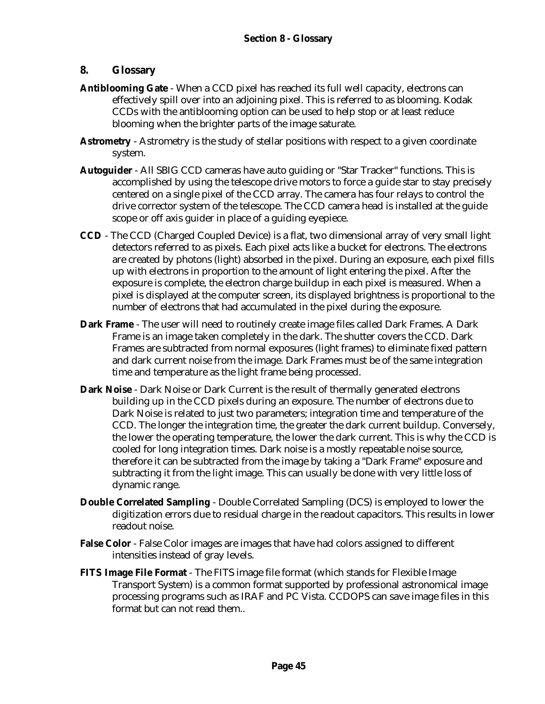### **8. Glossary**

- **Antiblooming Gate** When a CCD pixel has reached its full well capacity, electrons can effectively spill over into an adjoining pixel. This is referred to as blooming. Kodak CCDs with the antiblooming option can be used to help stop or at least reduce blooming when the brighter parts of the image saturate.
- **Astrometry** Astrometry is the study of stellar positions with respect to a given coordinate system.
- **Autoguider** All SBIG CCD cameras have auto guiding or "Star Tracker" functions. This is accomplished by using the telescope drive motors to force a guide star to stay precisely centered on a single pixel of the CCD array. The camera has four relays to control the drive corrector system of the telescope. The CCD camera head is installed at the guide scope or off axis guider in place of a guiding eyepiece.
- **CCD** The CCD (Charged Coupled Device) is a flat, two dimensional array of very small light detectors referred to as pixels. Each pixel acts like a bucket for electrons. The electrons are created by photons (light) absorbed in the pixel. During an exposure, each pixel fills up with electrons in proportion to the amount of light entering the pixel. After the exposure is complete, the electron charge buildup in each pixel is measured. When a pixel is displayed at the computer screen, its displayed brightness is proportional to the number of electrons that had accumulated in the pixel during the exposure.
- **Dark Frame** The user will need to routinely create image files called Dark Frames. A Dark Frame is an image taken completely in the dark. The shutter covers the CCD. Dark Frames are subtracted from normal exposures (light frames) to eliminate fixed pattern and dark current noise from the image. Dark Frames must be of the same integration time and temperature as the light frame being processed.
- **Dark Noise**  Dark Noise or Dark Current is the result of thermally generated electrons building up in the CCD pixels during an exposure. The number of electrons due to Dark Noise is related to just two parameters; integration time and temperature of the CCD. The longer the integration time, the greater the dark current buildup. Conversely, the lower the operating temperature, the lower the dark current. This is why the CCD is cooled for long integration times. Dark noise is a mostly repeatable noise source, therefore it can be subtracted from the image by taking a "Dark Frame" exposure and subtracting it from the light image. This can usually be done with very little loss of dynamic range.
- **Double Correlated Sampling** Double Correlated Sampling (DCS) is employed to lower the digitization errors due to residual charge in the readout capacitors. This results in lower readout noise.
- **False Color** False Color images are images that have had colors assigned to different intensities instead of gray levels.
- **FITS Image File Format** The FITS image file format (which stands for Flexible Image Transport System) is a common format supported by professional astronomical image processing programs such as IRAF and PC Vista. CCDOPS can save image files in this format but can not read them..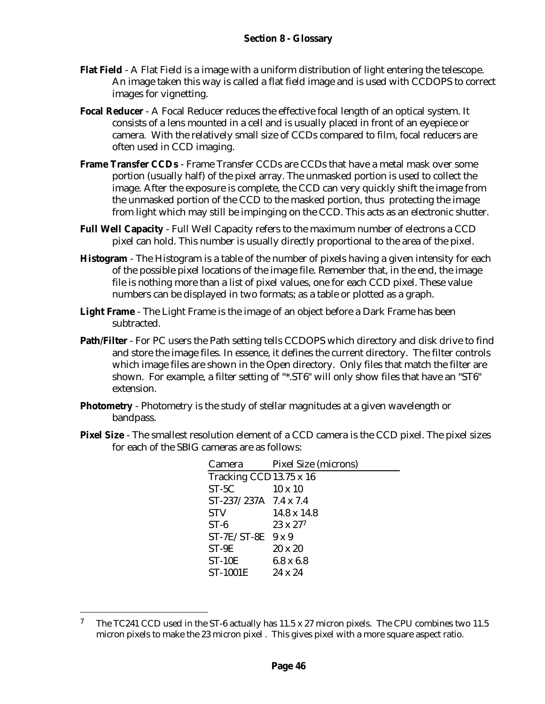- **Flat Field** A Flat Field is a image with a uniform distribution of light entering the telescope. An image taken this way is called a flat field image and is used with CCDOPS to correct images for vignetting.
- **Focal Reducer** A Focal Reducer reduces the effective focal length of an optical system. It consists of a lens mounted in a cell and is usually placed in front of an eyepiece or camera. With the relatively small size of CCDs compared to film, focal reducers are often used in CCD imaging.
- **Frame Transfer CCDs** Frame Transfer CCDs are CCDs that have a metal mask over some portion (usually half) of the pixel array. The unmasked portion is used to collect the image. After the exposure is complete, the CCD can very quickly shift the image from the unmasked portion of the CCD to the masked portion, thus protecting the image from light which may still be impinging on the CCD. This acts as an electronic shutter.
- **Full Well Capacity** Full Well Capacity refers to the maximum number of electrons a CCD pixel can hold. This number is usually directly proportional to the area of the pixel.
- **Histogram** The Histogram is a table of the number of pixels having a given intensity for each of the possible pixel locations of the image file. Remember that, in the end, the image file is nothing more than a list of pixel values, one for each CCD pixel. These value numbers can be displayed in two formats; as a table or plotted as a graph.
- **Light Frame** The Light Frame is the image of an object before a Dark Frame has been subtracted.
- **Path/Filter**  For PC users the Path setting tells CCDOPS which directory and disk drive to find and store the image files. In essence, it defines the current directory. The filter controls which image files are shown in the Open directory. Only files that match the filter are shown. For example, a filter setting of "\*.ST6" will only show files that have an "ST6" extension.
- **Photometry** Photometry is the study of stellar magnitudes at a given wavelength or bandpass.
- **Pixel Size** The smallest resolution element of a CCD camera is the CCD pixel. The pixel sizes for each of the SBIG cameras are as follows:

| Camera                  | Pixel Size (microns) |  |  |  |
|-------------------------|----------------------|--|--|--|
| Tracking CCD13.75 x 16  |                      |  |  |  |
| $ST-5C$                 | $10 \times 10$       |  |  |  |
| $ST-237/237A$ 7.4 x 7.4 |                      |  |  |  |
| <b>STV</b>              | $14.8 \times 14.8$   |  |  |  |
| $ST-6$                  | $23 \times 277$      |  |  |  |
| $ST-7E/ST-8E$ 9 x 9     |                      |  |  |  |
| $ST-9E$                 | $20 \times 20$       |  |  |  |
| $ST-10E$                | $6.8 \times 6.8$     |  |  |  |
| <b>ST-1001E</b>         | $24 \times 24$       |  |  |  |

<sup>&</sup>lt;sup>7</sup> The TC241 CCD used in the ST-6 actually has 11.5 x 27 micron pixels. The CPU combines two 11.5 micron pixels to make the 23 micron pixel . This gives pixel with a more square aspect ratio.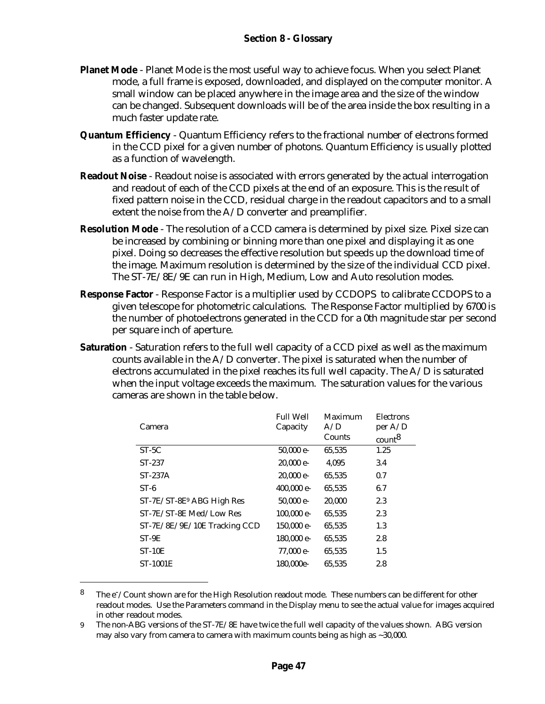- **Planet Mode** Planet Mode is the most useful way to achieve focus. When you select Planet mode, a full frame is exposed, downloaded, and displayed on the computer monitor. A small window can be placed anywhere in the image area and the size of the window can be changed. Subsequent downloads will be of the area inside the box resulting in a much faster update rate.
- **Quantum Efficiency** Quantum Efficiency refers to the fractional number of electrons formed in the CCD pixel for a given number of photons. Quantum Efficiency is usually plotted as a function of wavelength.
- **Readout Noise** Readout noise is associated with errors generated by the actual interrogation and readout of each of the CCD pixels at the end of an exposure. This is the result of fixed pattern noise in the CCD, residual charge in the readout capacitors and to a small extent the noise from the A/D converter and preamplifier.
- **Resolution Mode** The resolution of a CCD camera is determined by pixel size. Pixel size can be increased by combining or binning more than one pixel and displaying it as one pixel. Doing so decreases the effective resolution but speeds up the download time of the image. Maximum resolution is determined by the size of the individual CCD pixel. The ST-7E/8E/9E can run in High, Medium, Low and Auto resolution modes.
- **Response Factor** Response Factor is a multiplier used by CCDOPS to calibrate CCDOPS to a given telescope for photometric calculations. The Response Factor multiplied by 6700 is the number of photoelectrons generated in the CCD for a 0th magnitude star per second per square inch of aperture.
- **Saturation** Saturation refers to the full well capacity of a CCD pixel as well as the maximum counts available in the  $A/D$  converter. The pixel is saturated when the number of electrons accumulated in the pixel reaches its full well capacity. The A/D is saturated when the input voltage exceeds the maximum. The saturation values for the various cameras are shown in the table below.

| <b>Full Well</b> | Maximum | Electrons          |
|------------------|---------|--------------------|
| Capacity         | A/D     | per $A/D$          |
|                  | Counts  | count <sup>8</sup> |
| 50,000 e-        | 65,535  | 1.25               |
| $20,000$ e-      | 4,095   | 3.4                |
| $20,000$ e-      | 65,535  | 0.7                |
| $400,000$ e-     | 65,535  | 6.7                |
| 50,000 e-        | 20,000  | 2.3                |
| 100,000 e-       | 65,535  | 2.3                |
| 150,000 e-       | 65,535  | 1.3                |
| 180,000 e-       | 65,535  | 2.8                |
| 77.000 e-        | 65,535  | 1.5                |
| 180,000e-        | 65.535  | 2.8                |
|                  |         |                    |

<sup>&</sup>lt;sup>8</sup> The  $e^-/$ Count shown are for the High Resolution readout mode. These numbers can be different for other readout modes. Use the Parameters command in the Display menu to see the actual value for images acquired in other readout modes.

<sup>9</sup> The non-ABG versions of the ST-7E/8E have twice the full well capacity of the values shown. ABG version may also vary from camera to camera with maximum counts being as high as  $\sim$  30,000.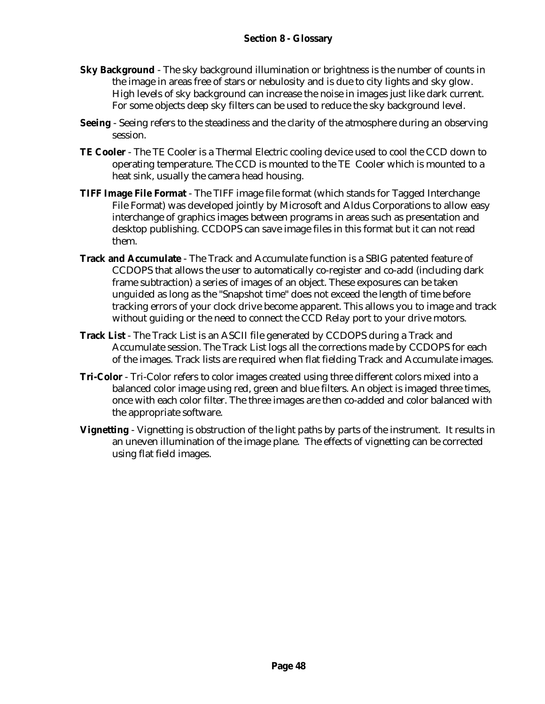- **Sky Background** The sky background illumination or brightness is the number of counts in the image in areas free of stars or nebulosity and is due to city lights and sky glow. High levels of sky background can increase the noise in images just like dark current. For some objects deep sky filters can be used to reduce the sky background level.
- **Seeing** Seeing refers to the steadiness and the clarity of the atmosphere during an observing session.
- **TE Cooler**  The TE Cooler is a Thermal Electric cooling device used to cool the CCD down to operating temperature. The CCD is mounted to the TE Cooler which is mounted to a heat sink, usually the camera head housing.
- **TIFF Image File Format** The TIFF image file format (which stands for Tagged Interchange File Format) was developed jointly by Microsoft and Aldus Corporations to allow easy interchange of graphics images between programs in areas such as presentation and desktop publishing. CCDOPS can save image files in this format but it can not read them.
- **Track and Accumulate** The Track and Accumulate function is a SBIG patented feature of CCDOPS that allows the user to automatically co-register and co-add (including dark frame subtraction) a series of images of an object. These exposures can be taken unguided as long as the "Snapshot time" does not exceed the length of time before tracking errors of your clock drive become apparent. This allows you to image and track without guiding or the need to connect the CCD Relay port to your drive motors.
- **Track List** The Track List is an ASCII file generated by CCDOPS during a Track and Accumulate session. The Track List logs all the corrections made by CCDOPS for each of the images. Track lists are required when flat fielding Track and Accumulate images.
- **Tri-Color** Tri-Color refers to color images created using three different colors mixed into a balanced color image using red, green and blue filters. An object is imaged three times, once with each color filter. The three images are then co-added and color balanced with the appropriate software.
- **Vignetting** Vignetting is obstruction of the light paths by parts of the instrument. It results in an uneven illumination of the image plane. The effects of vignetting can be corrected using flat field images.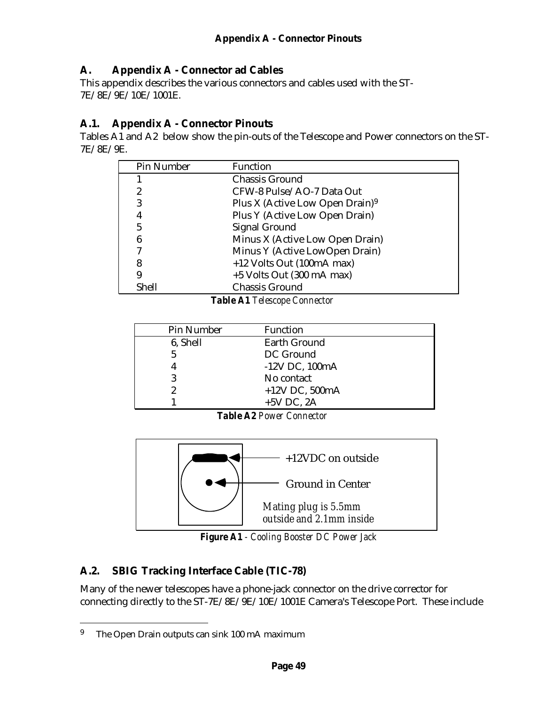### **A. Appendix A - Connector ad Cables**

This appendix describes the various connectors and cables used with the ST-7E/8E/9E/10E/1001E.

### **A.1. Appendix A - Connector Pinouts**

Tables A1 and A2 below show the pin-outs of the Telescope and Power connectors on the ST-7E/8E/9E.

| Pin Number | <b>Function</b>                             |
|------------|---------------------------------------------|
|            | <b>Chassis Ground</b>                       |
| 2          | CFW-8 Pulse/AO-7 Data Out                   |
| 3          | Plus X (Active Low Open Drain) <sup>9</sup> |
| 4          | Plus Y (Active Low Open Drain)              |
| 5          | <b>Signal Ground</b>                        |
| 6          | Minus X (Active Low Open Drain)             |
|            | Minus Y (Active LowOpen Drain)              |
| 8          | +12 Volts Out (100mA max)                   |
| 9          | $+5$ Volts Out (300 mA max)                 |
| Shell      | <b>Chassis Ground</b>                       |

*Table A1 Telescope Connector*

| Pin Number | <b>Function</b>     |
|------------|---------------------|
| 6, Shell   | <b>Earth Ground</b> |
| 5          | DC Ground           |
|            | $-12V$ DC, $100mA$  |
|            | No contact          |
|            | $+12V$ DC, 500mA    |
|            | $+5V$ DC, 2A        |

*Table A2 Power Connector*



*Figure A1 - Cooling Booster DC Power Jack*

# **A.2. SBIG Tracking Interface Cable (TIC-78)**

Many of the newer telescopes have a phone-jack connector on the drive corrector for connecting directly to the ST-7E/8E/9E/10E/1001E Camera's Telescope Port. These include

<sup>&</sup>lt;sup>9</sup> The Open Drain outputs can sink 100 mA maximum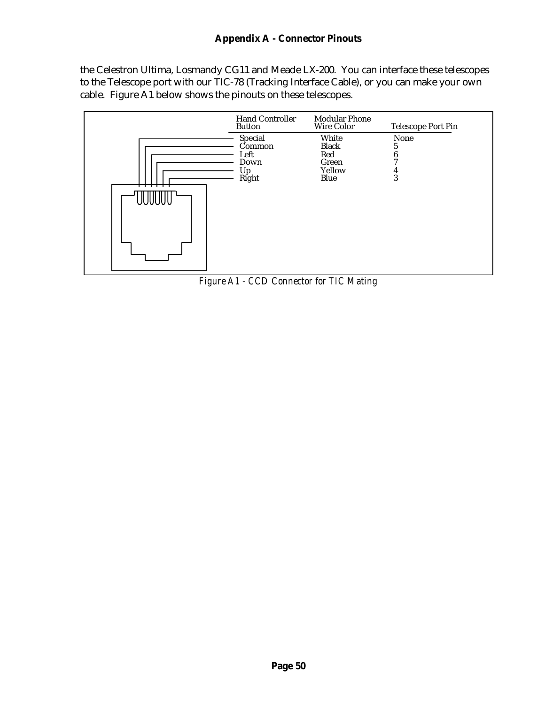### **Appendix A - Connector Pinouts**

the Celestron Ultima, Losmandy CG11 and Meade LX-200. You can interface these telescopes to the Telescope port with our TIC-78 (Tracking Interface Cable), or you can make your own cable. Figure A1 below shows the pinouts on these telescopes.



*Figure A1 - CCD Connector for TIC Mating*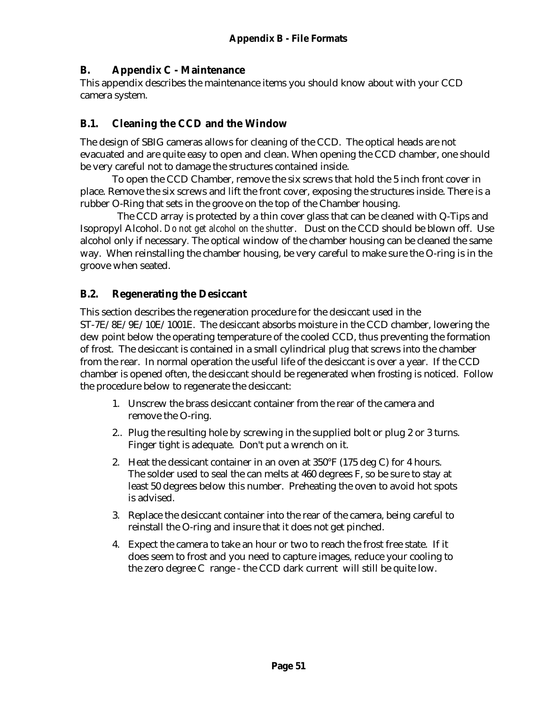### **B. Appendix C - Maintenance**

This appendix describes the maintenance items you should know about with your CCD camera system.

### **B.1. Cleaning the CCD and the Window**

The design of SBIG cameras allows for cleaning of the CCD. The optical heads are not evacuated and are quite easy to open and clean. When opening the CCD chamber, one should be very careful not to damage the structures contained inside.

To open the CCD Chamber, remove the six screws that hold the 5 inch front cover in place. Remove the six screws and lift the front cover, exposing the structures inside. There is a rubber O-Ring that sets in the groove on the top of the Chamber housing.

 The CCD array is protected by a thin cover glass that can be cleaned with Q-Tips and Isopropyl Alcohol. *Do not get alcohol on the shutter*. Dust on the CCD should be blown off. Use alcohol only if necessary*.* The optical window of the chamber housing can be cleaned the same way. When reinstalling the chamber housing, be very careful to make sure the O-ring is in the groove when seated.

### **B.2. Regenerating the Desiccant**

This section describes the regeneration procedure for the desiccant used in the ST-7E/8E/9E/10E/1001E. The desiccant absorbs moisture in the CCD chamber, lowering the dew point below the operating temperature of the cooled CCD, thus preventing the formation of frost. The desiccant is contained in a small cylindrical plug that screws into the chamber from the rear. In normal operation the useful life of the desiccant is over a year. If the CCD chamber is opened often, the desiccant should be regenerated when frosting is noticed. Follow the procedure below to regenerate the desiccant:

- 1. Unscrew the brass desiccant container from the rear of the camera and remove the O-ring.
- 2.. Plug the resulting hole by screwing in the supplied bolt or plug 2 or 3 turns. Finger tight is adequate. Don't put a wrench on it.
- 2. Heat the dessicant container in an oven at  $350^{\circ}$  F (175 deg C) for 4 hours. The solder used to seal the can melts at 460 degrees F, so be sure to stay at least 50 degrees below this number. Preheating the oven to avoid hot spots is advised.
- 3. Replace the desiccant container into the rear of the camera, being careful to reinstall the O-ring and insure that it does not get pinched.
- 4. Expect the camera to take an hour or two to reach the frost free state. If it does seem to frost and you need to capture images, reduce your cooling to the zero degree C range - the CCD dark current will still be quite low.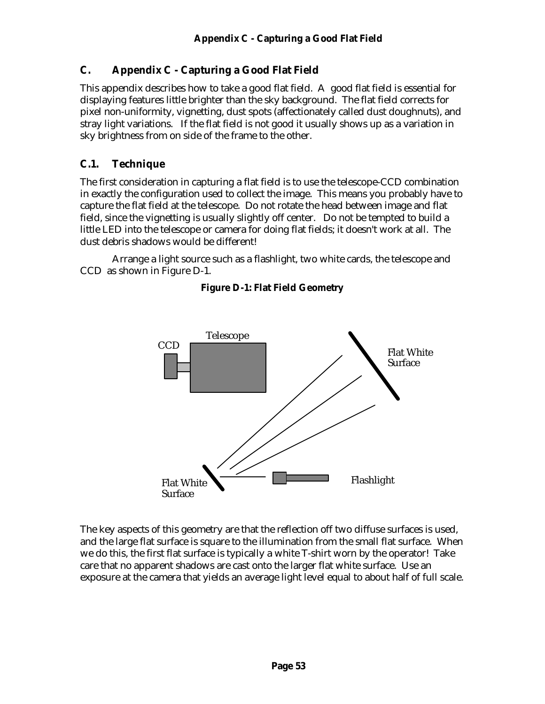### **C. Appendix C - Capturing a Good Flat Field**

This appendix describes how to take a good flat field. A good flat field is essential for displaying features little brighter than the sky background. The flat field corrects for pixel non-uniformity, vignetting, dust spots (affectionately called dust doughnuts), and stray light variations. If the flat field is not good it usually shows up as a variation in sky brightness from on side of the frame to the other.

### **C.1. Technique**

The first consideration in capturing a flat field is to use the telescope-CCD combination in exactly the configuration used to collect the image. This means you probably have to capture the flat field at the telescope. Do not rotate the head between image and flat field, since the vignetting is usually slightly off center. Do not be tempted to build a little LED into the telescope or camera for doing flat fields; it doesn't work at all. The dust debris shadows would be different!

Arrange a light source such as a flashlight, two white cards, the telescope and CCD as shown in Figure D-1.



#### **Figure D-1: Flat Field Geometry**

The key aspects of this geometry are that the reflection off two diffuse surfaces is used, and the large flat surface is square to the illumination from the small flat surface. When we do this, the first flat surface is typically a white T-shirt worn by the operator! Take care that no apparent shadows are cast onto the larger flat white surface. Use an exposure at the camera that yields an average light level equal to about half of full scale.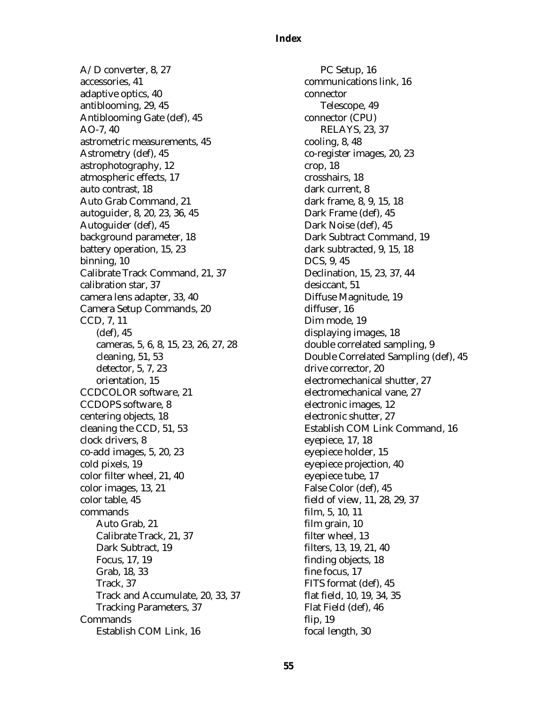#### **Index**

A/D converter, 8, 27 accessories, 41 adaptive optics, 40 antiblooming, 29, 45 Antiblooming Gate (def), 45 AO-7, 40 astrometric measurements, 45 Astrometry (def), 45 astrophotography, 12 atmospheric effects, 17 auto contrast, 18 Auto Grab Command, 21 autoguider, 8, 20, 23, 36, 45 Autoguider (def), 45 background parameter, 18 battery operation, 15, 23 binning, 10 Calibrate Track Command, 21, 37 calibration star, 37 camera lens adapter, 33, 40 Camera Setup Commands, 20 CCD, 7, 11 (def), 45 cameras, 5, 6, 8, 15, 23, 26, 27, 28 cleaning, 51, 53 detector, 5, 7, 23 orientation, 15 CCDCOLOR software, 21 CCDOPS software, 8 centering objects, 18 cleaning the CCD, 51, 53 clock drivers, 8 co-add images, 5, 20, 23 cold pixels, 19 color filter wheel, 21, 40 color images, 13, 21 color table, 45 commands Auto Grab, 21 Calibrate Track, 21, 37 Dark Subtract, 19 Focus, 17, 19 Grab, 18, 33 Track, 37 Track and Accumulate, 20, 33, 37 Tracking Parameters, 37 Commands Establish COM Link, 16

PC Setup, 16 communications link, 16 connector Telescope, 49 connector (CPU) RELAYS, 23, 37 cooling, 8, 48 co-register images, 20, 23 crop, 18 crosshairs, 18 dark current, 8 dark frame, 8, 9, 15, 18 Dark Frame (def), 45 Dark Noise (def), 45 Dark Subtract Command, 19 dark subtracted, 9, 15, 18 DCS, 9, 45 Declination, 15, 23, 37, 44 desiccant, 51 Diffuse Magnitude, 19 diffuser, 16 Dim mode, 19 displaying images, 18 double correlated sampling, 9 Double Correlated Sampling (def), 45 drive corrector, 20 electromechanical shutter, 27 electromechanical vane, 27 electronic images, 12 electronic shutter, 27 Establish COM Link Command, 16 eyepiece, 17, 18 eyepiece holder, 15 eyepiece projection, 40 eyepiece tube, 17 False Color (def), 45 field of view, 11, 28, 29, 37 film, 5, 10, 11 film grain, 10 filter wheel, 13 filters, 13, 19, 21, 40 finding objects, 18 fine focus, 17 FITS format (def), 45 flat field, 10, 19, 34, 35 Flat Field (def), 46 flip, 19 focal length, 30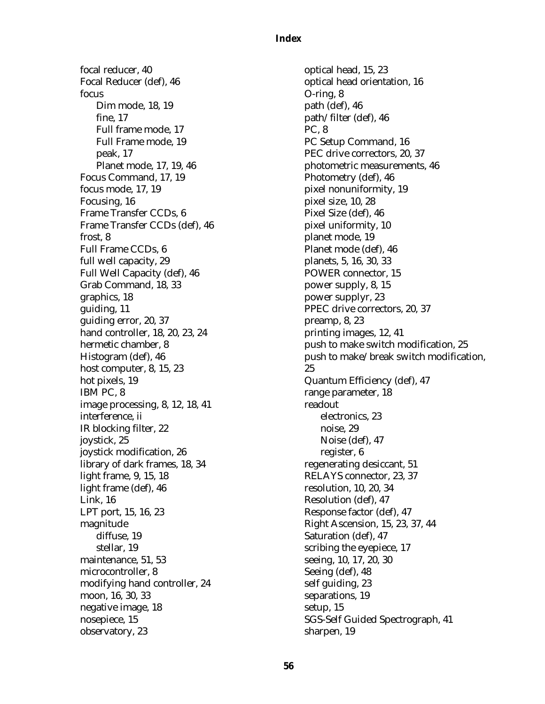#### **Index**

focal reducer, 40 Focal Reducer (def), 46 focus Dim mode, 18, 19 fine, 17 Full frame mode, 17 Full Frame mode, 19 peak, 17 Planet mode, 17, 19, 46 Focus Command, 17, 19 focus mode, 17, 19 Focusing, 16 Frame Transfer CCDs, 6 Frame Transfer CCDs (def), 46 frost, 8 Full Frame CCDs, 6 full well capacity, 29 Full Well Capacity (def), 46 Grab Command, 18, 33 graphics, 18 guiding, 11 guiding error, 20, 37 hand controller, 18, 20, 23, 24 hermetic chamber, 8 Histogram (def), 46 host computer, 8, 15, 23 hot pixels, 19 IBM PC, 8 image processing, 8, 12, 18, 41 interference, ii IR blocking filter, 22 joystick, 25 joystick modification, 26 library of dark frames, 18, 34 light frame, 9, 15, 18 light frame (def), 46 Link, 16 LPT port, 15, 16, 23 magnitude diffuse, 19 stellar, 19 maintenance, 51, 53 microcontroller, 8 modifying hand controller, 24 moon, 16, 30, 33 negative image, 18 nosepiece, 15 observatory, 23

optical head, 15, 23 optical head orientation, 16 O-ring, 8 path (def), 46 path/filter (def), 46 PC, 8 PC Setup Command, 16 PEC drive correctors, 20, 37 photometric measurements, 46 Photometry (def), 46 pixel nonuniformity, 19 pixel size, 10, 28 Pixel Size (def), 46 pixel uniformity, 10 planet mode, 19 Planet mode (def), 46 planets, 5, 16, 30, 33 POWER connector, 15 power supply, 8, 15 power supplyr, 23 PPEC drive correctors, 20, 37 preamp, 8, 23 printing images, 12, 41 push to make switch modification, 25 push to make/break switch modification, 25 Quantum Efficiency (def), 47 range parameter, 18 readout electronics, 23 noise, 29 Noise (def), 47 register, 6 regenerating desiccant, 51 RELAYS connector, 23, 37 resolution, 10, 20, 34 Resolution (def), 47 Response factor (def), 47 Right Ascension, 15, 23, 37, 44 Saturation (def), 47 scribing the eyepiece, 17 seeing, 10, 17, 20, 30 Seeing (def), 48 self guiding, 23 separations, 19 setup, 15 SGS-Self Guided Spectrograph, 41 sharpen, 19